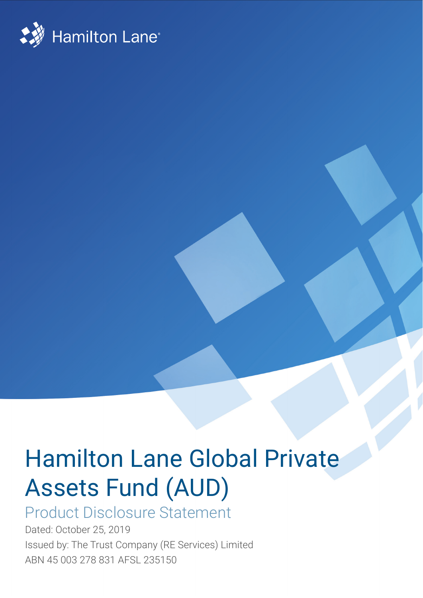

# Hamilton Lane Global Private Assets Fund (AUD)

## Product Disclosure Statement

Dated: October 25, 2019 Issued by: The Trust Company (RE Services) Limited ABN 45 003 278 831 AFSL 235150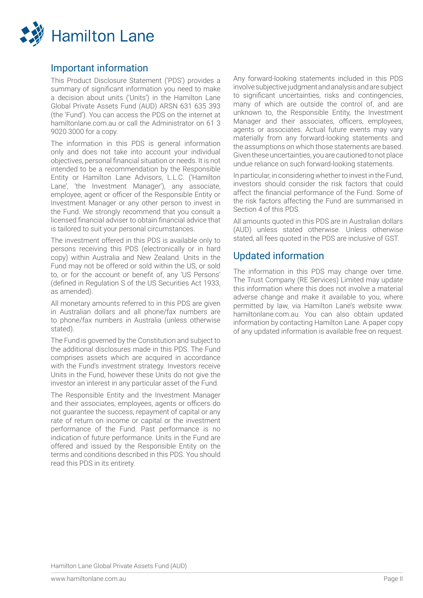

## Important information

This Product Disclosure Statement ('PDS') provides a summary of significant information you need to make a decision about units ('Units') in the Hamilton Lane Global Private Assets Fund (AUD) ARSN 631 635 393 (the 'Fund'). You can access the PDS on the internet at hamiltonlane.com.au or call the Administrator on 61 3 9020 3000 for a copy.

The information in this PDS is general information only and does not take into account your individual objectives, personal financial situation or needs. It is not intended to be a recommendation by the Responsible Entity or Hamilton Lane Advisors, L.L.C. ('Hamilton Lane', 'the Investment Manager'), any associate, employee, agent or officer of the Responsible Entity or Investment Manager or any other person to invest in the Fund. We strongly recommend that you consult a licensed financial adviser to obtain financial advice that is tailored to suit your personal circumstances.

The investment offered in this PDS is available only to persons receiving this PDS (electronically or in hard copy) within Australia and New Zealand. Units in the Fund may not be offered or sold within the US, or sold to, or for the account or benefit of, any 'US Persons' (defined in Regulation S of the US Securities Act 1933, as amended).

All monetary amounts referred to in this PDS are given in Australian dollars and all phone/fax numbers are to phone/fax numbers in Australia (unless otherwise stated).

The Fund is governed by the Constitution and subject to the additional disclosures made in this PDS. The Fund comprises assets which are acquired in accordance with the Fund's investment strategy. Investors receive Units in the Fund, however these Units do not give the investor an interest in any particular asset of the Fund.

The Responsible Entity and the Investment Manager and their associates, employees, agents or officers do not guarantee the success, repayment of capital or any rate of return on income or capital or the investment performance of the Fund. Past performance is no indication of future performance. Units in the Fund are offered and issued by the Responsible Entity on the terms and conditions described in this PDS. You should read this PDS in its entirety.

Any forward-looking statements included in this PDS involve subjective judgment and analysis and are subject to significant uncertainties, risks and contingencies, many of which are outside the control of, and are unknown to, the Responsible Entity, the Investment Manager and their associates, officers, employees, agents or associates. Actual future events may vary materially from any forward-looking statements and the assumptions on which those statements are based. Given these uncertainties, you are cautioned to not place undue reliance on such forward-looking statements.

In particular, in considering whether to invest in the Fund, investors should consider the risk factors that could affect the financial performance of the Fund. Some of the risk factors affecting the Fund are summarised in Section 4 of this PDS.

All amounts quoted in this PDS are in Australian dollars (AUD) unless stated otherwise. Unless otherwise stated, all fees quoted in the PDS are inclusive of GST.

## Updated information

The information in this PDS may change over time. The Trust Company (RE Services) Limited may update this information where this does not involve a material adverse change and make it available to you, where permitted by law, via Hamilton Lane's website www. hamiltonlane.com.au. You can also obtain updated information by contacting Hamilton Lane. A paper copy of any updated information is available free on request.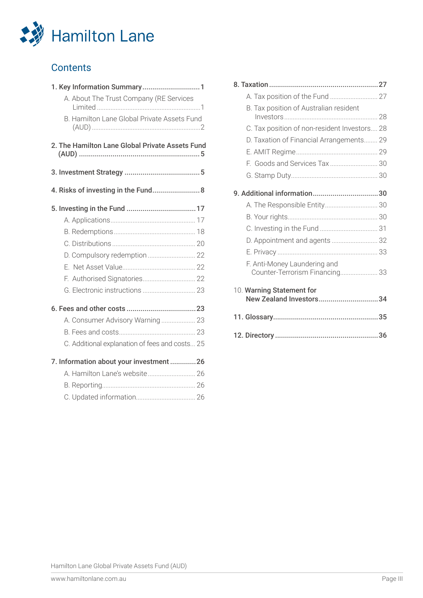

## **Contents**

| 1. Key Information Summary1                     |  |
|-------------------------------------------------|--|
| A. About The Trust Company (RE Services         |  |
| B. Hamilton Lane Global Private Assets Fund     |  |
|                                                 |  |
| 2. The Hamilton Lane Global Private Assets Fund |  |
|                                                 |  |
| 4. Risks of investing in the Fund 8             |  |
|                                                 |  |
|                                                 |  |
|                                                 |  |
|                                                 |  |
|                                                 |  |
|                                                 |  |
|                                                 |  |
|                                                 |  |
|                                                 |  |
| A. Consumer Advisory Warning 23                 |  |
|                                                 |  |
| C. Additional explanation of fees and costs 25  |  |
| 7. Information about your investment 26         |  |
| A. Hamilton Lane's website 26                   |  |
|                                                 |  |
|                                                 |  |

| B. Tax position of Australian resident                         |  |
|----------------------------------------------------------------|--|
| C. Tax position of non-resident Investors 28                   |  |
| D. Taxation of Financial Arrangements 29                       |  |
|                                                                |  |
| F. Goods and Services Tax 30                                   |  |
|                                                                |  |
|                                                                |  |
|                                                                |  |
|                                                                |  |
|                                                                |  |
| D. Appointment and agents  32                                  |  |
|                                                                |  |
| F. Anti-Money Laundering and<br>Counter-Terrorism Financing 33 |  |
| 10. Warning Statement for<br>New Zealand Investors34           |  |
|                                                                |  |
|                                                                |  |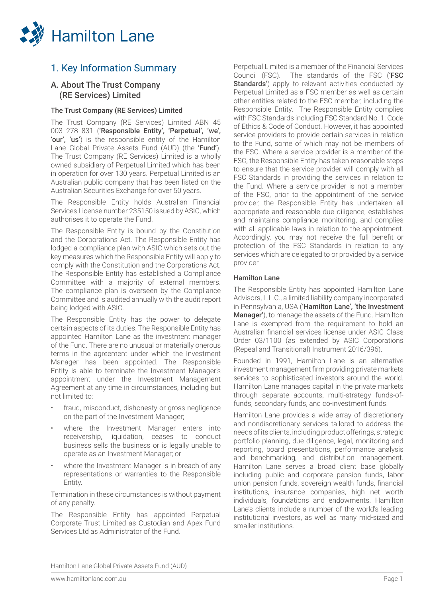

## 1. Key Information Summary

## A. About The Trust Company (RE Services) Limited

## The Trust Company (RE Services) Limited

The Trust Company (RE Services) Limited ABN 45 003 278 831 ('Responsible Entity', 'Perpetual', 'we', 'our', 'us') is the responsible entity of the Hamilton Lane Global Private Assets Fund (AUD) (the 'Fund'). The Trust Company (RE Services) Limited is a wholly owned subsidiary of Perpetual Limited which has been in operation for over 130 years. Perpetual Limited is an Australian public company that has been listed on the Australian Securities Exchange for over 50 years.

The Responsible Entity holds Australian Financial Services License number 235150 issued by ASIC, which authorises it to operate the Fund.

The Responsible Entity is bound by the Constitution and the Corporations Act. The Responsible Entity has lodged a compliance plan with ASIC which sets out the key measures which the Responsible Entity will apply to comply with the Constitution and the Corporations Act. The Responsible Entity has established a Compliance Committee with a majority of external members. The compliance plan is overseen by the Compliance Committee and is audited annually with the audit report being lodged with ASIC.

The Responsible Entity has the power to delegate certain aspects of its duties. The Responsible Entity has appointed Hamilton Lane as the investment manager of the Fund. There are no unusual or materially onerous terms in the agreement under which the Investment Manager has been appointed. The Responsible Entity is able to terminate the Investment Manager's appointment under the Investment Management Agreement at any time in circumstances, including but not limited to:

- fraud, misconduct, dishonesty or gross negligence on the part of the Investment Manager;
- where the Investment Manager enters into receivership, liquidation, ceases to conduct business sells the business or is legally unable to operate as an Investment Manager; or
- where the Investment Manager is in breach of any representations or warranties to the Responsible Entity.

Termination in these circumstances is without payment of any penalty.

The Responsible Entity has appointed Perpetual Corporate Trust Limited as Custodian and Apex Fund Services Ltd as Administrator of the Fund.

Perpetual Limited is a member of the Financial Services Council (FSC). The standards of the FSC ('FSC Standards') apply to relevant activities conducted by Perpetual Limited as a FSC member as well as certain other entities related to the FSC member, including the Responsible Entity. The Responsible Entity complies with FSC Standards including FSC Standard No. 1: Code of Ethics & Code of Conduct. However, it has appointed service providers to provide certain services in relation to the Fund, some of which may not be members of the FSC. Where a service provider is a member of the FSC, the Responsible Entity has taken reasonable steps to ensure that the service provider will comply with all FSC Standards in providing the services in relation to the Fund. Where a service provider is not a member of the FSC, prior to the appointment of the service provider, the Responsible Entity has undertaken all appropriate and reasonable due diligence, establishes and maintains compliance monitoring, and complies with all applicable laws in relation to the appointment. Accordingly, you may not receive the full benefit or protection of the FSC Standards in relation to any services which are delegated to or provided by a service provider.

## Hamilton Lane

The Responsible Entity has appointed Hamilton Lane Advisors, L.L.C., a limited liability company incorporated in Pennsylvania, USA ('Hamilton Lane', 'the Investment Manager'), to manage the assets of the Fund. Hamilton Lane is exempted from the requirement to hold an Australian financial services license under ASIC Class Order 03/1100 (as extended by ASIC Corporations (Repeal and Transitional) Instrument 2016/396).

Founded in 1991, Hamilton Lane is an alternative investment management firm providing private markets services to sophisticated investors around the world. Hamilton Lane manages capital in the private markets through separate accounts, multi-strategy funds-offunds, secondary funds, and co-investment funds.

Hamilton Lane provides a wide array of discretionary and nondiscretionary services tailored to address the needs of its clients, including product offerings, strategic portfolio planning, due diligence, legal, monitoring and reporting, board presentations, performance analysis and benchmarking, and distribution management. Hamilton Lane serves a broad client base globally including public and corporate pension funds, labor union pension funds, sovereign wealth funds, financial institutions, insurance companies, high net worth individuals, foundations and endowments. Hamilton Lane's clients include a number of the world's leading institutional investors, as well as many mid-sized and smaller institutions.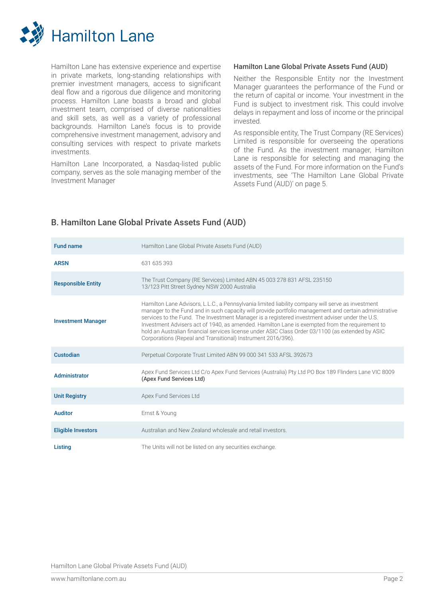

Hamilton Lane has extensive experience and expertise in private markets, long-standing relationships with premier investment managers, access to significant deal flow and a rigorous due diligence and monitoring process. Hamilton Lane boasts a broad and global investment team, comprised of diverse nationalities and skill sets, as well as a variety of professional backgrounds. Hamilton Lane's focus is to provide comprehensive investment management, advisory and consulting services with respect to private markets investments.

Hamilton Lane Incorporated, a Nasdaq-listed public company, serves as the sole managing member of the Investment Manager

## Hamilton Lane Global Private Assets Fund (AUD)

Neither the Responsible Entity nor the Investment Manager guarantees the performance of the Fund or the return of capital or income. Your investment in the Fund is subject to investment risk. This could involve delays in repayment and loss of income or the principal invested.

As responsible entity, The Trust Company (RE Services) Limited is responsible for overseeing the operations of the Fund. As the investment manager, Hamilton Lane is responsible for selecting and managing the assets of the Fund. For more information on the Fund's investments, see 'The Hamilton Lane Global Private Assets Fund (AUD)' on page 5.

| <b>Fund name</b>          | Hamilton Lane Global Private Assets Fund (AUD)                                                                                                                                                                                                                                                                                                                                                                                                                                                                                                                                      |
|---------------------------|-------------------------------------------------------------------------------------------------------------------------------------------------------------------------------------------------------------------------------------------------------------------------------------------------------------------------------------------------------------------------------------------------------------------------------------------------------------------------------------------------------------------------------------------------------------------------------------|
| <b>ARSN</b>               | 631 635 393                                                                                                                                                                                                                                                                                                                                                                                                                                                                                                                                                                         |
| <b>Responsible Entity</b> | The Trust Company (RE Services) Limited ABN 45 003 278 831 AFSL 235150<br>13/123 Pitt Street Sydney NSW 2000 Australia                                                                                                                                                                                                                                                                                                                                                                                                                                                              |
| <b>Investment Manager</b> | Hamilton Lane Advisors, L.L.C., a Pennsylvania limited liability company will serve as investment<br>manager to the Fund and in such capacity will provide portfolio management and certain administrative<br>services to the Fund. The Investment Manager is a registered investment adviser under the U.S.<br>Investment Advisers act of 1940, as amended. Hamilton Lane is exempted from the requirement to<br>hold an Australian financial services license under ASIC Class Order 03/1100 (as extended by ASIC<br>Corporations (Repeal and Transitional) Instrument 2016/396). |
| Custodian                 | Perpetual Corporate Trust Limited ABN 99 000 341 533 AFSL 392673                                                                                                                                                                                                                                                                                                                                                                                                                                                                                                                    |
| Administrator             | Apex Fund Services Ltd C/o Apex Fund Services (Australia) Pty Ltd PO Box 189 Flinders Lane VIC 8009<br>(Apex Fund Services Ltd)                                                                                                                                                                                                                                                                                                                                                                                                                                                     |
| <b>Unit Registry</b>      | Apex Fund Services Ltd                                                                                                                                                                                                                                                                                                                                                                                                                                                                                                                                                              |
| <b>Auditor</b>            | Ernst & Young                                                                                                                                                                                                                                                                                                                                                                                                                                                                                                                                                                       |
| <b>Eligible Investors</b> | Australian and New Zealand wholesale and retail investors.                                                                                                                                                                                                                                                                                                                                                                                                                                                                                                                          |
| Listing                   | The Units will not be listed on any securities exchange.                                                                                                                                                                                                                                                                                                                                                                                                                                                                                                                            |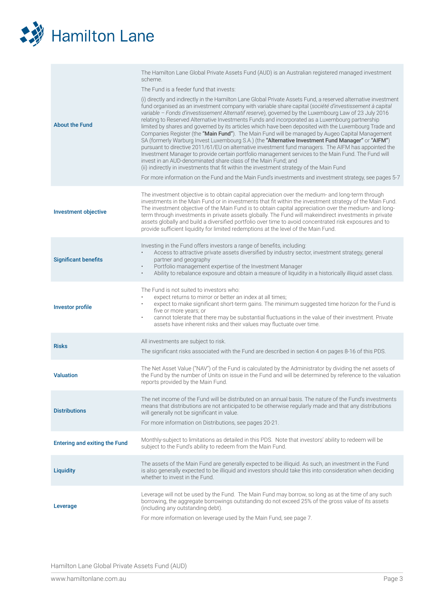

| <b>About the Fund</b>                | The Hamilton Lane Global Private Assets Fund (AUD) is an Australian registered managed investment<br>scheme.<br>The Fund is a feeder fund that invests:<br>(i) directly and indirectly in the Hamilton Lane Global Private Assets Fund, a reserved alternative investment<br>fund organised as an investment company with variable share capital (société d'investissement à capital<br>variable - Fonds d'investissement Alternatif reserve), governed by the Luxembourg Law of 23 July 2016<br>relating to Reserved Alternative Investments Funds and incorporated as a Luxembourg partnership<br>limited by shares and governed by its articles which have been deposited with the Luxembourg Trade and<br>Companies Register (the "Main Fund"). The Main Fund will be managed by Augeo Capital Management<br>SA (formerly Warburg Invest Luxembourg S.A.) (the "Alternative Investment Fund Manager" or "AIFM")<br>pursuant to directive 2011/61/EU on alternative investment fund managers. The AIFM has appointed the<br>Investment Manager to provide certain portfolio management services to the Main Fund. The Fund will<br>invest in an AUD-denominated share class of the Main Fund; and<br>(ii) indirectly in investments that fit within the investment strategy of the Main Fund<br>For more information on the Fund and the Main Fund's investments and investment strategy, see pages 5-7 |
|--------------------------------------|------------------------------------------------------------------------------------------------------------------------------------------------------------------------------------------------------------------------------------------------------------------------------------------------------------------------------------------------------------------------------------------------------------------------------------------------------------------------------------------------------------------------------------------------------------------------------------------------------------------------------------------------------------------------------------------------------------------------------------------------------------------------------------------------------------------------------------------------------------------------------------------------------------------------------------------------------------------------------------------------------------------------------------------------------------------------------------------------------------------------------------------------------------------------------------------------------------------------------------------------------------------------------------------------------------------------------------------------------------------------------------------------------------|
| <b>Investment objective</b>          | The investment objective is to obtain capital appreciation over the medium- and long-term through<br>investments in the Main Fund or in investments that fit within the investment strategy of the Main Fund.<br>The investment objective of the Main Fund is to obtain capital appreciation over the medium- and long-<br>term through investments in private assets globally. The Fund will make indirect investments in private<br>assets globally and build a diversified portfolio over time to avoid concentrated risk exposures and to<br>provide sufficient liquidity for limited redemptions at the level of the Main Fund.                                                                                                                                                                                                                                                                                                                                                                                                                                                                                                                                                                                                                                                                                                                                                                       |
| <b>Significant benefits</b>          | Investing in the Fund offers investors a range of benefits, including:<br>Access to attractive private assets diversified by industry sector, investment strategy, general<br>partner and geography<br>Portfolio management expertise of the Investment Manager<br>٠<br>Ability to rebalance exposure and obtain a measure of liquidity in a historically illiquid asset class.<br>$\bullet$                                                                                                                                                                                                                                                                                                                                                                                                                                                                                                                                                                                                                                                                                                                                                                                                                                                                                                                                                                                                               |
| <b>Investor profile</b>              | The Fund is not suited to investors who:<br>expect returns to mirror or better an index at all times;<br>expect to make significant short-term gains. The minimum suggested time horizon for the Fund is<br>٠<br>five or more years; or<br>cannot tolerate that there may be substantial fluctuations in the value of their investment. Private<br>٠<br>assets have inherent risks and their values may fluctuate over time.                                                                                                                                                                                                                                                                                                                                                                                                                                                                                                                                                                                                                                                                                                                                                                                                                                                                                                                                                                               |
| <b>Risks</b>                         | All investments are subject to risk.<br>The significant risks associated with the Fund are described in section 4 on pages 8-16 of this PDS.                                                                                                                                                                                                                                                                                                                                                                                                                                                                                                                                                                                                                                                                                                                                                                                                                                                                                                                                                                                                                                                                                                                                                                                                                                                               |
| <b>Valuation</b>                     | The Net Asset Value ("NAV") of the Fund is calculated by the Administrator by dividing the net assets of<br>the Fund by the number of Units on issue in the Fund and will be determined by reference to the valuation<br>reports provided by the Main Fund.                                                                                                                                                                                                                                                                                                                                                                                                                                                                                                                                                                                                                                                                                                                                                                                                                                                                                                                                                                                                                                                                                                                                                |
| <b>Distributions</b>                 | The net income of the Fund will be distributed on an annual basis. The nature of the Fund's investments<br>means that distributions are not anticipated to be otherwise regularly made and that any distributions<br>will generally not be significant in value.<br>For more information on Distributions, see pages 20-21.                                                                                                                                                                                                                                                                                                                                                                                                                                                                                                                                                                                                                                                                                                                                                                                                                                                                                                                                                                                                                                                                                |
| <b>Entering and exiting the Fund</b> | Monthly-subject to limitations as detailed in this PDS. Note that investors' ability to redeem will be<br>subject to the Fund's ability to redeem from the Main Fund.                                                                                                                                                                                                                                                                                                                                                                                                                                                                                                                                                                                                                                                                                                                                                                                                                                                                                                                                                                                                                                                                                                                                                                                                                                      |
| <b>Liquidity</b>                     | The assets of the Main Fund are generally expected to be illiquid. As such, an investment in the Fund<br>is also generally expected to be illiquid and investors should take this into consideration when deciding<br>whether to invest in the Fund.                                                                                                                                                                                                                                                                                                                                                                                                                                                                                                                                                                                                                                                                                                                                                                                                                                                                                                                                                                                                                                                                                                                                                       |
| Leverage                             | Leverage will not be used by the Fund. The Main Fund may borrow, so long as at the time of any such<br>borrowing, the aggregate borrowings outstanding do not exceed 25% of the gross value of its assets<br>(including any outstanding debt).<br>For more information on leverage used by the Main Fund, see page 7.                                                                                                                                                                                                                                                                                                                                                                                                                                                                                                                                                                                                                                                                                                                                                                                                                                                                                                                                                                                                                                                                                      |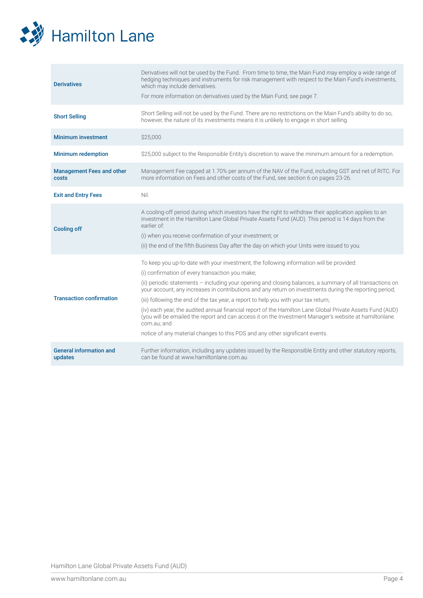

| <b>Derivatives</b>                        | Derivatives will not be used by the Fund. From time to time, the Main Fund may employ a wide range of<br>hedging techniques and instruments for risk management with respect to the Main Fund's investments,<br>which may include derivatives.<br>For more information on derivatives used by the Main Fund, see page 7.                                                                                                                                                                                                                                                                                                                                                                                                                                                        |
|-------------------------------------------|---------------------------------------------------------------------------------------------------------------------------------------------------------------------------------------------------------------------------------------------------------------------------------------------------------------------------------------------------------------------------------------------------------------------------------------------------------------------------------------------------------------------------------------------------------------------------------------------------------------------------------------------------------------------------------------------------------------------------------------------------------------------------------|
| <b>Short Selling</b>                      | Short Selling will not be used by the Fund. There are no restrictions on the Main Fund's ability to do so,<br>however, the nature of its investments means it is unlikely to engage in short selling.                                                                                                                                                                                                                                                                                                                                                                                                                                                                                                                                                                           |
| <b>Minimum investment</b>                 | \$25,000                                                                                                                                                                                                                                                                                                                                                                                                                                                                                                                                                                                                                                                                                                                                                                        |
| <b>Minimum redemption</b>                 | \$25,000 subject to the Responsible Entity's discretion to waive the minimum amount for a redemption.                                                                                                                                                                                                                                                                                                                                                                                                                                                                                                                                                                                                                                                                           |
| <b>Management Fees and other</b><br>costs | Management Fee capped at 1.70% per annum of the NAV of the Fund, including GST and net of RITC. For<br>more information on Fees and other costs of the Fund, see section 6 on pages 23-26.                                                                                                                                                                                                                                                                                                                                                                                                                                                                                                                                                                                      |
| <b>Exit and Entry Fees</b>                | Nil.                                                                                                                                                                                                                                                                                                                                                                                                                                                                                                                                                                                                                                                                                                                                                                            |
| <b>Cooling off</b>                        | A cooling-off period during which investors have the right to withdraw their application applies to an<br>investment in the Hamilton Lane Global Private Assets Fund (AUD). This period is 14 days from the<br>earlier of:<br>(i) when you receive confirmation of your investment; or<br>(ii) the end of the fifth Business Day after the day on which your Units were issued to you.                                                                                                                                                                                                                                                                                                                                                                                          |
| <b>Transaction confirmation</b>           | To keep you up-to-date with your investment, the following information will be provided:<br>(i) confirmation of every transaction you make;<br>(ii) periodic statements - including your opening and closing balances, a summary of all transactions on<br>your account, any increases in contributions and any return on investments during the reporting period;<br>(iii) following the end of the tax year, a report to help you with your tax return;<br>(iv) each year, the audited annual financial report of the Hamilton Lane Global Private Assets Fund (AUD)<br>(you will be emailed the report and can access it on the Investment Manager's website at hamiltonlane.<br>com.au; and<br>notice of any material changes to this PDS and any other significant events. |
|                                           |                                                                                                                                                                                                                                                                                                                                                                                                                                                                                                                                                                                                                                                                                                                                                                                 |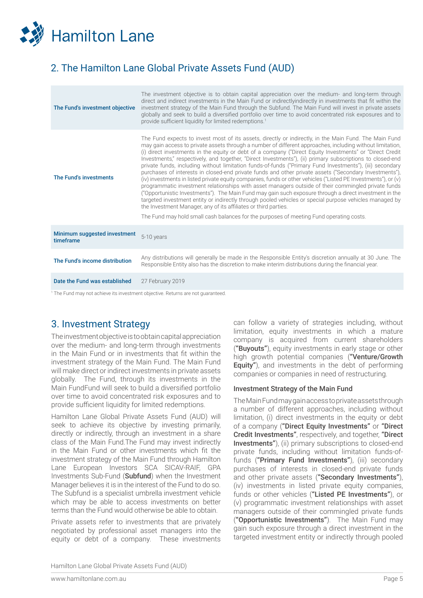

## 2. The Hamilton Lane Global Private Assets Fund (AUD)

| The Fund's investment objective           | The investment objective is to obtain capital appreciation over the medium- and long-term through<br>direct and indirect investments in the Main Fund or indirectlyindirectly in investments that fit within the<br>investment strategy of the Main Fund through the Subfund. The Main Fund will invest in private assets<br>globally and seek to build a diversified portfolio over time to avoid concentrated risk exposures and to<br>provide sufficient liquidity for limited redemptions. <sup>1</sup>                                                                                                                                                                                                                                                                                                                                                                                                                                                                                                                                                                                                                                                                                                                                                                      |
|-------------------------------------------|----------------------------------------------------------------------------------------------------------------------------------------------------------------------------------------------------------------------------------------------------------------------------------------------------------------------------------------------------------------------------------------------------------------------------------------------------------------------------------------------------------------------------------------------------------------------------------------------------------------------------------------------------------------------------------------------------------------------------------------------------------------------------------------------------------------------------------------------------------------------------------------------------------------------------------------------------------------------------------------------------------------------------------------------------------------------------------------------------------------------------------------------------------------------------------------------------------------------------------------------------------------------------------|
| The Fund's investments                    | The Fund expects to invest most of its assets, directly or indirectly, in the Main Fund. The Main Fund<br>may gain access to private assets through a number of different approaches, including without limitation,<br>(i) direct investments in the equity or debt of a company ("Direct Equity Investments" or "Direct Credit")<br>Investments," respectively, and together, "Direct Investments"), (ii) primary subscriptions to closed-end<br>private funds, including without limitation funds-of-funds ("Primary Fund Investments"), (iii) secondary<br>purchases of interests in closed-end private funds and other private assets ("Secondary Investments"),<br>(iv) investments in listed private equity companies, funds or other vehicles ("Listed PE Investments"), or (v)<br>programmatic investment relationships with asset managers outside of their commingled private funds<br>("Opportunistic Investments"). The Main Fund may gain such exposure through a direct investment in the<br>targeted investment entity or indirectly through pooled vehicles or special purpose vehicles managed by<br>the Investment Manager, any of its affiliates or third parties.<br>The Fund may hold small cash balances for the purposes of meeting Fund operating costs. |
| Minimum suggested investment<br>timeframe | 5-10 years                                                                                                                                                                                                                                                                                                                                                                                                                                                                                                                                                                                                                                                                                                                                                                                                                                                                                                                                                                                                                                                                                                                                                                                                                                                                       |
| The Fund's income distribution            | Any distributions will generally be made in the Responsible Entity's discretion annually at 30 June. The<br>Responsible Entity also has the discretion to make interim distributions during the financial year.                                                                                                                                                                                                                                                                                                                                                                                                                                                                                                                                                                                                                                                                                                                                                                                                                                                                                                                                                                                                                                                                  |
| Date the Fund was established             | 27 February 2019                                                                                                                                                                                                                                                                                                                                                                                                                                                                                                                                                                                                                                                                                                                                                                                                                                                                                                                                                                                                                                                                                                                                                                                                                                                                 |

1 The Fund may not achieve its investment objective. Returns are not guaranteed.

## 3. Investment Strategy

The investment objective is to obtain capital appreciation over the medium- and long-term through investments in the Main Fund or in investments that fit within the investment strategy of the Main Fund. The Main Fund will make direct or indirect investments in private assets globally. The Fund, through its investments in the Main FundFund will seek to build a diversified portfolio over time to avoid concentrated risk exposures and to provide sufficient liquidity for limited redemptions.

Hamilton Lane Global Private Assets Fund (AUD) will seek to achieve its objective by investing primarily, directly or indirectly, through an investment in a share class of the Main Fund.The Fund may invest indirectly in the Main Fund or other investments which fit the investment strategy of the Main Fund through Hamilton Lane European Investors SCA SICAV-RAIF, GPA Investments Sub-Fund (Subfund) when the Investment Manager believes it is in the interest of the Fund to do so. The Subfund is a specialist umbrella investment vehicle which may be able to access investments on better terms than the Fund would otherwise be able to obtain.

Private assets refer to investments that are privately negotiated by professional asset managers into the equity or debt of a company. These investments can follow a variety of strategies including, without limitation, equity investments in which a mature company is acquired from current shareholders ("Buyouts"), equity investments in early stage or other high growth potential companies ("Venture/Growth **Equity"**), and investments in the debt of performing companies or companies in need of restructuring.

#### Investment Strategy of the Main Fund

The Main Fund may gain access to private assets through a number of different approaches, including without limitation, (i) direct investments in the equity or debt of a company ("Direct Equity Investments" or "Direct Credit Investments", respectively, and together, "Direct Investments"), (ii) primary subscriptions to closed-end private funds, including without limitation funds-offunds ("Primary Fund Investments"), (iii) secondary purchases of interests in closed-end private funds and other private assets ("Secondary Investments"), (iv) investments in listed private equity companies, funds or other vehicles ("Listed PE Investments"), or (v) programmatic investment relationships with asset managers outside of their commingled private funds ("Opportunistic Investments"). The Main Fund may gain such exposure through a direct investment in the targeted investment entity or indirectly through pooled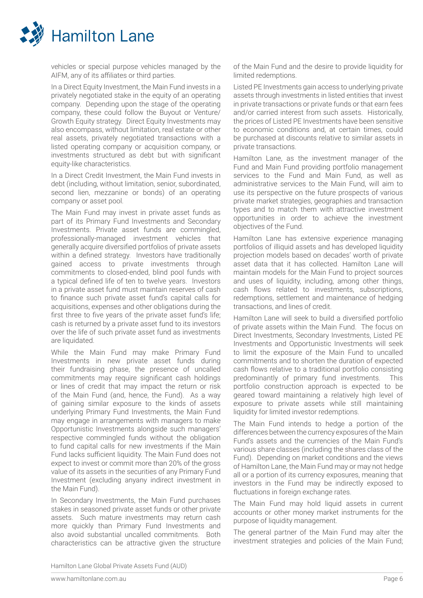

vehicles or special purpose vehicles managed by the AIFM, any of its affiliates or third parties.

In a Direct Equity Investment, the Main Fund invests in a privately negotiated stake in the equity of an operating company. Depending upon the stage of the operating company, these could follow the Buyout or Venture/ Growth Equity strategy. Direct Equity Investments may also encompass, without limitation, real estate or other real assets, privately negotiated transactions with a listed operating company or acquisition company, or investments structured as debt but with significant equity-like characteristics.

In a Direct Credit Investment, the Main Fund invests in debt (including, without limitation, senior, subordinated, second lien, mezzanine or bonds) of an operating company or asset pool.

The Main Fund may invest in private asset funds as part of its Primary Fund Investments and Secondary Investments. Private asset funds are commingled, professionally-managed investment vehicles that generally acquire diversified portfolios of private assets within a defined strategy. Investors have traditionally gained access to private investments through commitments to closed-ended, blind pool funds with a typical defined life of ten to twelve years. Investors in a private asset fund must maintain reserves of cash to finance such private asset fund's capital calls for acquisitions, expenses and other obligations during the first three to five years of the private asset fund's life; cash is returned by a private asset fund to its investors over the life of such private asset fund as investments are liquidated.

While the Main Fund may make Primary Fund Investments in new private asset funds during their fundraising phase, the presence of uncalled commitments may require significant cash holdings or lines of credit that may impact the return or risk of the Main Fund (and, hence, the Fund). As a way of gaining similar exposure to the kinds of assets underlying Primary Fund Investments, the Main Fund may engage in arrangements with managers to make Opportunistic Investments alongside such managers' respective commingled funds without the obligation to fund capital calls for new investments if the Main Fund lacks sufficient liquidity. The Main Fund does not expect to invest or commit more than 20% of the gross value of its assets in the securities of any Primary Fund Investment (excluding anyany indirect investment in the Main Fund).

In Secondary Investments, the Main Fund purchases stakes in seasoned private asset funds or other private assets. Such mature investments may return cash more quickly than Primary Fund Investments and also avoid substantial uncalled commitments. Both characteristics can be attractive given the structure of the Main Fund and the desire to provide liquidity for limited redemptions.

Listed PE Investments gain access to underlying private assets through investments in listed entities that invest in private transactions or private funds or that earn fees and/or carried interest from such assets. Historically, the prices of Listed PE Investments have been sensitive to economic conditions and, at certain times, could be purchased at discounts relative to similar assets in private transactions.

Hamilton Lane, as the investment manager of the Fund and Main Fund providing portfolio management services to the Fund and Main Fund, as well as administrative services to the Main Fund, will aim to use its perspective on the future prospects of various private market strategies, geographies and transaction types and to match them with attractive investment opportunities in order to achieve the investment objectives of the Fund.

Hamilton Lane has extensive experience managing portfolios of illiquid assets and has developed liquidity projection models based on decades' worth of private asset data that it has collected. Hamilton Lane will maintain models for the Main Fund to project sources and uses of liquidity, including, among other things, cash flows related to investments, subscriptions, redemptions, settlement and maintenance of hedging transactions, and lines of credit.

Hamilton Lane will seek to build a diversified portfolio of private assets within the Main Fund. The focus on Direct Investments, Secondary Investments, Listed PE Investments and Opportunistic Investments will seek to limit the exposure of the Main Fund to uncalled commitments and to shorten the duration of expected cash flows relative to a traditional portfolio consisting predominantly of primary fund investments. This portfolio construction approach is expected to be geared toward maintaining a relatively high level of exposure to private assets while still maintaining liquidity for limited investor redemptions.

The Main Fund intends to hedge a portion of the differences between the currency exposures of the Main Fund's assets and the currencies of the Main Fund's various share classes (including the shares class of the Fund). Depending on market conditions and the views of Hamilton Lane, the Main Fund may or may not hedge all or a portion of its currency exposures, meaning that investors in the Fund may be indirectly exposed to fluctuations in foreign exchange rates.

The Main Fund may hold liquid assets in current accounts or other money market instruments for the purpose of liquidity management.

The general partner of the Main Fund may alter the investment strategies and policies of the Main Fund;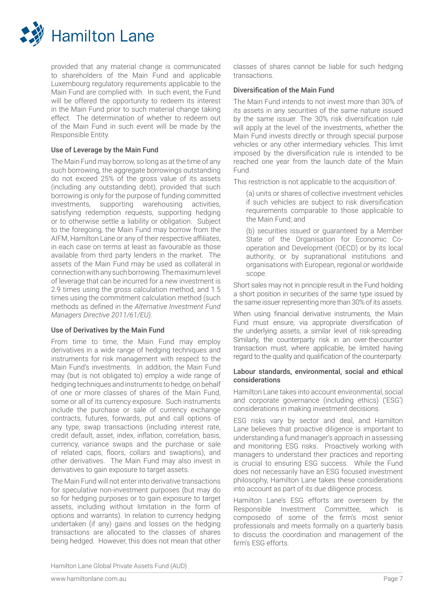

provided that any material change is communicated to shareholders of the Main Fund and applicable Luxembourg regulatory requirements applicable to the Main Fund are complied with. In such event, the Fund will be offered the opportunity to redeem its interest in the Main Fund prior to such material change taking effect. The determination of whether to redeem out of the Main Fund in such event will be made by the Responsible Entity.

#### Use of Leverage by the Main Fund

The Main Fund may borrow, so long as at the time of any such borrowing, the aggregate borrowings outstanding do not exceed 25% of the gross value of its assets (including any outstanding debt), provided that such borrowing is only for the purpose of funding committed investments, supporting warehousing activities, satisfying redemption requests, supporting hedging or to otherwise settle a liability or obligation. Subject to the foregoing, the Main Fund may borrow from the AIFM, Hamilton Lane or any of their respective affiliates, in each case on terms at least as favourable as those available from third party lenders in the market. The assets of the Main Fund may be used as collateral in connection with any such borrowing. The maximum level of leverage that can be incurred for a new investment is 2.9 times using the gross calculation method, and 1.5 times using the commitment calculation method (such methods as defined in the *Alternative Investment Fund Managers Directive 2011/61/EU).*

## Use of Derivatives by the Main Fund

From time to time, the Main Fund may employ derivatives in a wide range of hedging techniques and instruments for risk management with respect to the Main Fund's investments. In addition, the Main Fund may (but is not obligated to) employ a wide range of hedging techniques and instruments to hedge, on behalf of one or more classes of shares of the Main Fund, some or all of its currency exposure. Such instruments include the purchase or sale of currency exchange contracts, futures, forwards, put and call options of any type, swap transactions (including interest rate, credit default, asset, index, inflation, correlation, basis, currency, variance swaps and the purchase or sale of related caps, floors, collars and swaptions), and other derivatives. The Main Fund may also invest in derivatives to gain exposure to target assets.

The Main Fund will not enter into derivative transactions for speculative non-investment purposes (but may do so for hedging purposes or to gain exposure to target assets, including without limitation in the form of options and warrants). In relation to currency hedging undertaken (if any) gains and losses on the hedging transactions are allocated to the classes of shares being hedged. However, this does not mean that other

classes of shares cannot be liable for such hedging transactions.

## Diversification of the Main Fund

The Main Fund intends to not invest more than 30% of its assets in any securities of the same nature issued by the same issuer. The 30% risk diversification rule will apply at the level of the investments, whether the Main Fund invests directly or through special purpose vehicles or any other intermediary vehicles. This limit imposed by the diversification rule is intended to be reached one year from the launch date of the Main Fund.

This restriction is not applicable to the acquisition of:

(a) units or shares of collective investment vehicles if such vehicles are subject to risk diversification requirements comparable to those applicable to the Main Fund; and

(b) securities issued or guaranteed by a Member State of the Organisation for Economic Cooperation and Development (OECD) or by its local authority, or by supranational institutions and organisations with European, regional or worldwide scope.

Short sales may not in principle result in the Fund holding a short position in securities of the same type issued by the same issuer representing more than 30% of its assets.

When using financial derivative instruments, the Main Fund must ensure, via appropriate diversification of the underlying assets, a similar level of risk-spreading. Similarly, the counterparty risk in an over-the-counter transaction must, where applicable, be limited having regard to the quality and qualification of the counterparty.

#### Labour standards, environmental, social and ethical considerations

Hamilton Lane takes into account environmental, social and corporate governance (including ethics) ('ESG') considerations in making investment decisions.

ESG risks vary by sector and deal, and Hamilton Lane believes that proactive diligence is important to understanding a fund manager's approach in assessing and monitoring ESG risks. Proactively working with managers to understand their practices and reporting is crucial to ensuring ESG success. While the Fund does not necessarily have an ESG focused investment philosophy, Hamilton Lane takes these considerations into account as part of its due diligence process.

Hamilton Lane's ESG efforts are overseen by the Responsible Investment Committee, which is composedo of some of the firm's most senior professionals and meets formally on a quarterly basis to discuss the coordination and management of the firm's ESG efforts.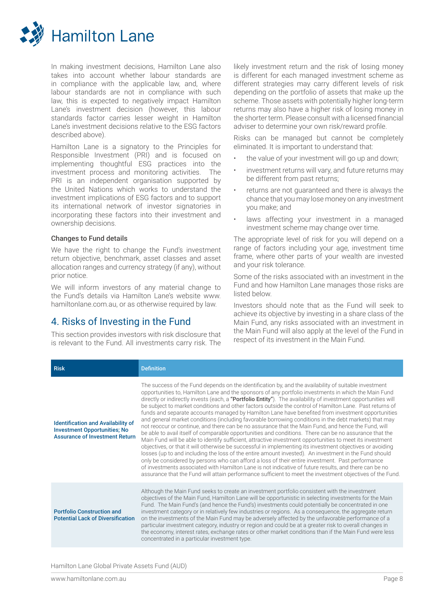

In making investment decisions, Hamilton Lane also takes into account whether labour standards are in compliance with the applicable law, and, where labour standards are not in compliance with such law, this is expected to negatively impact Hamilton Lane's investment decision (however, this labour standards factor carries lesser weight in Hamilton Lane's investment decisions relative to the ESG factors described above).

Hamilton Lane is a signatory to the Principles for Responsible Investment (PRI) and is focused on implementing thoughtful ESG practices into the investment process and monitoring activities. The PRI is an independent organisation supported by the United Nations which works to understand the investment implications of ESG factors and to support its international network of investor signatories in incorporating these factors into their investment and ownership decisions.

#### Changes to Fund details

We have the right to change the Fund's investment return objective, benchmark, asset classes and asset allocation ranges and currency strategy (if any), without prior notice.

We will inform investors of any material change to the Fund's details via Hamilton Lane's website www. hamiltonlane.com.au, or as otherwise required by law.

## 4. Risks of Investing in the Fund

This section provides investors with risk disclosure that is relevant to the Fund. All investments carry risk. The likely investment return and the risk of losing money is different for each managed investment scheme as different strategies may carry different levels of risk depending on the portfolio of assets that make up the scheme. Those assets with potentially higher long-term returns may also have a higher risk of losing money in the shorter term. Please consult with a licensed financial adviser to determine your own risk/reward profile.

Risks can be managed but cannot be completely eliminated. It is important to understand that:

- the value of your investment will go up and down;
- investment returns will vary, and future returns may be different from past returns;
- returns are not guaranteed and there is always the chance that you may lose money on any investment you make; and
- laws affecting your investment in a managed investment scheme may change over time.

The appropriate level of risk for you will depend on a range of factors including your age, investment time frame, where other parts of your wealth are invested and your risk tolerance.

Some of the risks associated with an investment in the Fund and how Hamilton Lane manages those risks are listed below.

Investors should note that as the Fund will seek to achieve its objective by investing in a share class of the Main Fund, any risks associated with an investment in the Main Fund will also apply at the level of the Fund in respect of its investment in the Main Fund.

| <b>Risk</b>                                                                                                               | <b>Definition</b>                                                                                                                                                                                                                                                                                                                                                                                                                                                                                                                                                                                                                                                                                                                                                                                                                                                                                                                                                                                                                                                                                                                                                                                                                                                                                                                                                                                                                                                                                                                      |
|---------------------------------------------------------------------------------------------------------------------------|----------------------------------------------------------------------------------------------------------------------------------------------------------------------------------------------------------------------------------------------------------------------------------------------------------------------------------------------------------------------------------------------------------------------------------------------------------------------------------------------------------------------------------------------------------------------------------------------------------------------------------------------------------------------------------------------------------------------------------------------------------------------------------------------------------------------------------------------------------------------------------------------------------------------------------------------------------------------------------------------------------------------------------------------------------------------------------------------------------------------------------------------------------------------------------------------------------------------------------------------------------------------------------------------------------------------------------------------------------------------------------------------------------------------------------------------------------------------------------------------------------------------------------------|
| <b>Identification and Availability of</b><br><b>Investment Opportunities; No</b><br><b>Assurance of Investment Return</b> | The success of the Fund depends on the identification by, and the availability of suitable investment<br>opportunities to, Hamilton Lane and the sponsors of any portfolio investments in which the Main Fund<br>directly or indirectly invests (each, a "Portfolio Entity"). The availability of investment opportunities will<br>be subject to market conditions and other factors outside the control of Hamilton Lane. Past returns of<br>funds and separate accounts managed by Hamilton Lane have benefited from investment opportunities<br>and general market conditions (including favorable borrowing conditions in the debt markets) that may<br>not reoccur or continue, and there can be no assurance that the Main Fund, and hence the Fund, will<br>be able to avail itself of comparable opportunities and conditions. There can be no assurance that the<br>Main Fund will be able to identify sufficient, attractive investment opportunities to meet its investment<br>objectives, or that it will otherwise be successful in implementing its investment objectives or avoiding<br>losses (up to and including the loss of the entire amount invested). An investment in the Fund should<br>only be considered by persons who can afford a loss of their entire investment. Past performance<br>of investments associated with Hamilton Lane is not indicative of future results, and there can be no<br>assurance that the Fund will attain performance sufficient to meet the investment objectives of the Fund. |
| <b>Portfolio Construction and</b><br><b>Potential Lack of Diversification</b>                                             | Although the Main Fund seeks to create an investment portfolio consistent with the investment<br>objectives of the Main Fund, Hamilton Lane will be opportunistic in selecting investments for the Main<br>Fund. The Main Fund's (and hence the Fund's) investments could potentially be concentrated in one<br>investment category or in relatively few industries or regions. As a consequence, the aggregate return<br>on the investments of the Main Fund may be adversely affected by the unfavorable performance of a<br>particular investment category, industry or region and could be at a greater risk to overall changes in<br>the economy, interest rates, exchange rates or other market conditions than if the Main Fund were less<br>concentrated in a particular investment type.                                                                                                                                                                                                                                                                                                                                                                                                                                                                                                                                                                                                                                                                                                                                      |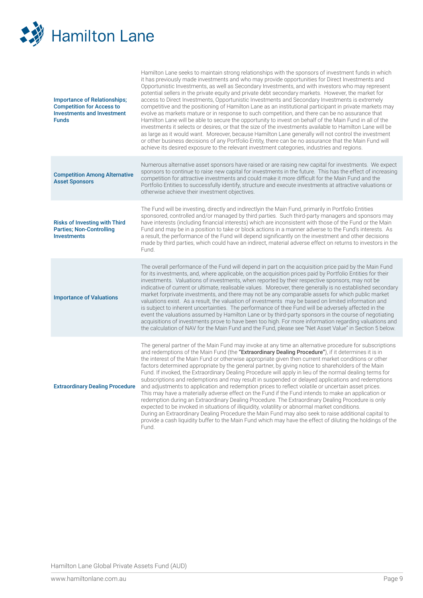

| <b>Importance of Relationships;</b><br><b>Competition for Access to</b><br><b>Investments and Investment</b><br><b>Funds</b> | Hamilton Lane seeks to maintain strong relationships with the sponsors of investment funds in which<br>it has previously made investments and who may provide opportunities for Direct Investments and<br>Opportunistic Investments, as well as Secondary Investments, and with investors who may represent<br>potential sellers in the private equity and private debt secondary markets. However, the market for<br>access to Direct Investments, Opportunistic Investments and Secondary Investments is extremely<br>competitive and the positioning of Hamilton Lane as an institutional participant in private markets may<br>evolve as markets mature or in response to such competition, and there can be no assurance that<br>Hamilton Lane will be able to secure the opportunity to invest on behalf of the Main Fund in all of the<br>investments it selects or desires, or that the size of the investments available to Hamilton Lane will be<br>as large as it would want. Moreover, because Hamilton Lane generally will not control the investment<br>or other business decisions of any Portfolio Entity, there can be no assurance that the Main Fund will<br>achieve its desired exposure to the relevant investment categories, industries and regions.                       |
|------------------------------------------------------------------------------------------------------------------------------|---------------------------------------------------------------------------------------------------------------------------------------------------------------------------------------------------------------------------------------------------------------------------------------------------------------------------------------------------------------------------------------------------------------------------------------------------------------------------------------------------------------------------------------------------------------------------------------------------------------------------------------------------------------------------------------------------------------------------------------------------------------------------------------------------------------------------------------------------------------------------------------------------------------------------------------------------------------------------------------------------------------------------------------------------------------------------------------------------------------------------------------------------------------------------------------------------------------------------------------------------------------------------------------------------|
| <b>Competition Among Alternative</b><br><b>Asset Sponsors</b>                                                                | Numerous alternative asset sponsors have raised or are raising new capital for investments. We expect<br>sponsors to continue to raise new capital for investments in the future. This has the effect of increasing<br>competition for attractive investments and could make it more difficult for the Main Fund and the<br>Portfolio Entities to successfully identify, structure and execute investments at attractive valuations or<br>otherwise achieve their investment objectives.                                                                                                                                                                                                                                                                                                                                                                                                                                                                                                                                                                                                                                                                                                                                                                                                          |
| <b>Risks of Investing with Third</b><br><b>Parties: Non-Controlling</b><br><b>Investments</b>                                | The Fund will be investing, directly and indirectlyin the Main Fund, primarily in Portfolio Entities<br>sponsored, controlled and/or managed by third parties. Such third-party managers and sponsors may<br>have interests (including financial interests) which are inconsistent with those of the Fund or the Main<br>Fund and may be in a position to take or block actions in a manner adverse to the Fund's interests. As<br>a result, the performance of the Fund will depend significantly on the investment and other decisions<br>made by third parties, which could have an indirect, material adverse effect on returns to investors in the<br>Fund.                                                                                                                                                                                                                                                                                                                                                                                                                                                                                                                                                                                                                                  |
| <b>Importance of Valuations</b>                                                                                              | The overall performance of the Fund will depend in part on the acquisition price paid by the Main Fund<br>for its investments, and, where applicable, on the acquisition prices paid by Portfolio Entities for their<br>investments. Valuations of investments, when reported by their respective sponsors, may not be<br>indicative of current or ultimate, realisable values. Moreover, there generally is no established secondary<br>market forprivate investments, and there may not be any comparable assets for which public market<br>valuations exist. As a result, the valuation of investments may be based on limited information and<br>is subject to inherent uncertainties. The performance of thee Fund will be adversely affected in the<br>event the valuations assumed by Hamilton Lane or by third-party sponsors in the course of negotiating<br>acquisitions of investments prove to have been too high. For more information regarding valuations and<br>the calculation of NAV for the Main Fund and the Fund, please see "Net Asset Value" in Section 5 below.                                                                                                                                                                                                           |
| <b>Extraordinary Dealing Procedure</b>                                                                                       | The general partner of the Main Fund may invoke at any time an alternative procedure for subscriptions<br>and redemptions of the Main Fund (the "Extraordinary Dealing Procedure"), if it determines it is in<br>the interest of the Main Fund or otherwise appropriate given then current market conditions or other<br>factors determined appropriate by the general partner, by giving notice to shareholders of the Main<br>Fund. If invoked, the Extraordinary Dealing Procedure will apply in lieu of the normal dealing terms for<br>subscriptions and redemptions and may result in suspended or delayed applications and redemptions<br>and adjustments to application and redemption prices to reflect volatile or uncertain asset prices.<br>This may have a materially adverse effect on the Fund if the Fund intends to make an application or<br>redemption during an Extraordinary Dealing Procedure. The Extraordinary Dealing Procedure is only<br>expected to be invoked in situations of illiquidity, volatility or abnormal market conditions.<br>During an Extraordinary Dealing Procedure the Main Fund may also seek to raise additional capital to<br>provide a cash liquidity buffer to the Main Fund which may have the effect of diluting the holdings of the<br>Fund. |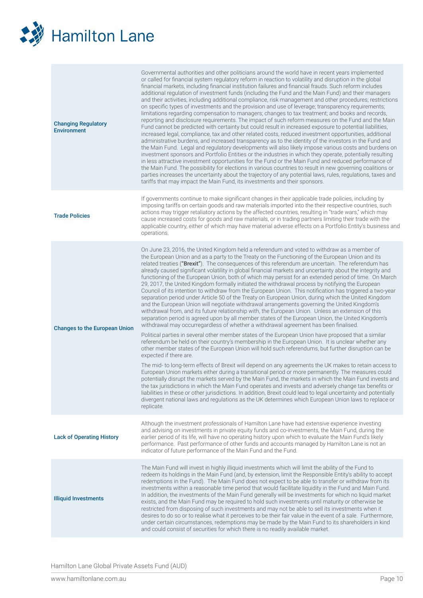

| <b>Changing Regulatory</b><br><b>Environment</b> | Governmental authorities and other politicians around the world have in recent years implemented<br>or called for financial system regulatory reform in reaction to volatility and disruption in the global<br>financial markets, including financial institution failures and financial frauds. Such reform includes<br>additional regulation of investment funds (including the Fund and the Main Fund) and their managers<br>and their activities, including additional compliance, risk management and other procedures; restrictions<br>on specific types of investments and the provision and use of leverage; transparency requirements;<br>limitations regarding compensation to managers; changes to tax treatment; and books and records,<br>reporting and disclosure requirements. The impact of such reform measures on the Fund and the Main<br>Fund cannot be predicted with certainty but could result in increased exposure to potential liabilities,<br>increased legal, compliance, tax and other related costs, reduced investment opportunities, additional<br>administrative burdens, and increased transparency as to the identity of the investors in the Fund and<br>the Main Fund. Legal and regulatory developments will also likely impose various costs and burdens on<br>investment sponsors and Portfolio Entities or the industries in which they operate, potentially resulting<br>in less attractive investment opportunities for the Fund or the Main Fund and reduced performance of<br>the Main Fund. The possibility for elections in various countries to result in new governing coalitions or<br>parties increases the uncertainty about the trajectory of any potential laws, rules, regulations, taxes and<br>tariffs that may impact the Main Fund, its investments and their sponsors.                                                                                                                                                                                                                                                                                                                                                                                                                                                |
|--------------------------------------------------|-----------------------------------------------------------------------------------------------------------------------------------------------------------------------------------------------------------------------------------------------------------------------------------------------------------------------------------------------------------------------------------------------------------------------------------------------------------------------------------------------------------------------------------------------------------------------------------------------------------------------------------------------------------------------------------------------------------------------------------------------------------------------------------------------------------------------------------------------------------------------------------------------------------------------------------------------------------------------------------------------------------------------------------------------------------------------------------------------------------------------------------------------------------------------------------------------------------------------------------------------------------------------------------------------------------------------------------------------------------------------------------------------------------------------------------------------------------------------------------------------------------------------------------------------------------------------------------------------------------------------------------------------------------------------------------------------------------------------------------------------------------------------------------------------------------------------------------------------------------------------------------------------------------------------------------------------------------------------------------------------------------------------------------------------------------------------------------------------------------------------------------------------------------------------------------------------------------------------------------------------------------------------------------|
| <b>Trade Policies</b>                            | If governments continue to make significant changes in their applicable trade policies, including by<br>imposing tariffs on certain goods and raw materials imported into the their respective countries, such<br>actions may trigger retaliatory actions by the affected countries, resulting in "trade wars," which may<br>cause increased costs for goods and raw materials, or in trading partners limiting their trade with the<br>applicable country, either of which may have material adverse effects on a Portfolio Entity's business and<br>operations.                                                                                                                                                                                                                                                                                                                                                                                                                                                                                                                                                                                                                                                                                                                                                                                                                                                                                                                                                                                                                                                                                                                                                                                                                                                                                                                                                                                                                                                                                                                                                                                                                                                                                                                 |
| <b>Changes to the European Union</b>             | On June 23, 2016, the United Kingdom held a referendum and voted to withdraw as a member of<br>the European Union and as a party to the Treaty on the Functioning of the European Union and its<br>related treaties ("Brexit"). The consequences of this referendum are uncertain. The referendum has<br>already caused significant volatility in global financial markets and uncertainty about the integrity and<br>functioning of the European Union, both of which may persist for an extended period of time. On March<br>29, 2017, the United Kingdom formally initiated the withdrawal process by notifying the European<br>Council of its intention to withdraw from the European Union. This notification has triggered a two-year<br>separation period under Article 50 of the Treaty on European Union, during which the United Kingdom<br>and the European Union will negotiate withdrawal arrangements governing the United Kingdom's<br>withdrawal from, and its future relationship with, the European Union. Unless an extension of this<br>separation period is agreed upon by all member states of the European Union, the United Kingdom's<br>withdrawal may occurregardless of whether a withdrawal agreement has been finalised.<br>Political parties in several other member states of the European Union have proposed that a similar<br>referendum be held on their country's membership in the European Union. It is unclear whether any<br>other member states of the European Union will hold such referendums, but further disruption can be<br>expected if there are.<br>The mid- to long-term effects of Brexit will depend on any agreements the UK makes to retain access to<br>European Union markets either during a transitional period or more permanently. The measures could<br>potentially disrupt the markets served by the Main Fund, the markets in which the Main Fund invests and<br>the tax jurisdictions in which the Main Fund operates and invests and adversely change tax benefits or<br>liabilities in these or other jurisdictions. In addition, Brexit could lead to legal uncertainty and potentially<br>divergent national laws and regulations as the UK determines which European Union laws to replace or<br>replicate. |
| <b>Lack of Operating History</b>                 | Although the investment professionals of Hamilton Lane have had extensive experience investing<br>and advising on investments in private equity funds and co-investments, the Main Fund, during the<br>earlier period of its life, will have no operating history upon which to evaluate the Main Fund's likely<br>performance. Past performance of other funds and accounts managed by Hamilton Lane is not an<br>indicator of future performance of the Main Fund and the Fund.                                                                                                                                                                                                                                                                                                                                                                                                                                                                                                                                                                                                                                                                                                                                                                                                                                                                                                                                                                                                                                                                                                                                                                                                                                                                                                                                                                                                                                                                                                                                                                                                                                                                                                                                                                                                 |
| <b>Illiquid Investments</b>                      | The Main Fund will invest in highly illiquid investments which will limit the ability of the Fund to<br>redeem its holdings in the Main Fund (and, by extension, limit the Responsible Entity's ability to accept<br>redemptions in the Fund). The Main Fund does not expect to be able to transfer or withdraw from its<br>investments within a reasonable time period that would facilitate liquidity in the Fund and Main Fund.<br>In addition, the investments of the Main Fund generally will be investments for which no liquid market<br>exists, and the Main Fund may be required to hold such investments until maturity or otherwise be<br>restricted from disposing of such investments and may not be able to sell its investments when it<br>desires to do so or to realise what it perceives to be their fair value in the event of a sale. Furthermore,<br>under certain circumstances, redemptions may be made by the Main Fund to its shareholders in kind<br>and could consist of securities for which there is no readily available market.                                                                                                                                                                                                                                                                                                                                                                                                                                                                                                                                                                                                                                                                                                                                                                                                                                                                                                                                                                                                                                                                                                                                                                                                                    |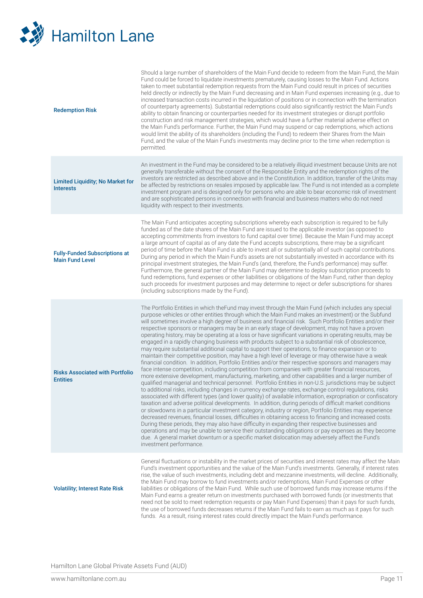

| <b>Redemption Risk</b>                                         | Should a large number of shareholders of the Main Fund decide to redeem from the Main Fund, the Main<br>Fund could be forced to liquidate investments prematurely, causing losses to the Main Fund. Actions<br>taken to meet substantial redemption requests from the Main Fund could result in prices of securities<br>held directly or indirectly by the Main Fund decreasing and in Main Fund expenses increasing (e.g., due to<br>increased transaction costs incurred in the liquidation of positions or in connection with the termination<br>of counterparty agreements). Substantial redemptions could also significantly restrict the Main Fund's<br>ability to obtain financing or counterparties needed for its investment strategies or disrupt portfolio<br>construction and risk management strategies, which would have a further material adverse effect on<br>the Main Fund's performance. Further, the Main Fund may suspend or cap redemptions, which actions<br>would limit the ability of its shareholders (including the Fund) to redeem their Shares from the Main<br>Fund, and the value of the Main Fund's investments may decline prior to the time when redemption is<br>permitted.                                                                                                                                                                                                                                                                                                                                                                                                                                                                                                                                                                                                                                                                                                                                                                                                                                                                                                                                                                                     |
|----------------------------------------------------------------|----------------------------------------------------------------------------------------------------------------------------------------------------------------------------------------------------------------------------------------------------------------------------------------------------------------------------------------------------------------------------------------------------------------------------------------------------------------------------------------------------------------------------------------------------------------------------------------------------------------------------------------------------------------------------------------------------------------------------------------------------------------------------------------------------------------------------------------------------------------------------------------------------------------------------------------------------------------------------------------------------------------------------------------------------------------------------------------------------------------------------------------------------------------------------------------------------------------------------------------------------------------------------------------------------------------------------------------------------------------------------------------------------------------------------------------------------------------------------------------------------------------------------------------------------------------------------------------------------------------------------------------------------------------------------------------------------------------------------------------------------------------------------------------------------------------------------------------------------------------------------------------------------------------------------------------------------------------------------------------------------------------------------------------------------------------------------------------------------------------------------------------------------------------------------------------------------|
| <b>Limited Liquidity; No Market for</b><br><b>Interests</b>    | An investment in the Fund may be considered to be a relatively illiquid investment because Units are not<br>generally transferable without the consent of the Responsible Entity and the redemption rights of the<br>investors are restricted as described above and in the Constitution. In addition, transfer of the Units may<br>be affected by restrictions on resales imposed by applicable law. The Fund is not intended as a complete<br>investment program and is designed only for persons who are able to bear economic risk of investment<br>and are sophisticated persons in connection with financial and business matters who do not need<br>liquidity with respect to their investments.                                                                                                                                                                                                                                                                                                                                                                                                                                                                                                                                                                                                                                                                                                                                                                                                                                                                                                                                                                                                                                                                                                                                                                                                                                                                                                                                                                                                                                                                                            |
| <b>Fully-Funded Subscriptions at</b><br><b>Main Fund Level</b> | The Main Fund anticipates accepting subscriptions whereby each subscription is required to be fully<br>funded as of the date shares of the Main Fund are issued to the applicable investor (as opposed to<br>accepting commitments from investors to fund capital over time). Because the Main Fund may accept<br>a large amount of capital as of any date the Fund accepts subscriptions, there may be a significant<br>period of time before the Main Fund is able to invest all or substantially all of such capital contributions.<br>During any period in which the Main Fund's assets are not substantially invested in accordance with its<br>principal investment strategies, the Main Fund's (and, therefore, the Fund's performance) may suffer.<br>Furthermore, the general partner of the Main Fund may determine to deploy subscription proceeds to<br>fund redemptions, fund expenses or other liabilities or obligations of the Main Fund, rather than deploy<br>such proceeds for investment purposes and may determine to reject or defer subscriptions for shares<br>(including subscriptions made by the Fund).                                                                                                                                                                                                                                                                                                                                                                                                                                                                                                                                                                                                                                                                                                                                                                                                                                                                                                                                                                                                                                                                 |
| <b>Risks Associated with Portfolio</b><br><b>Entities</b>      | The Portfolio Entities in which the Fund may invest through the Main Fund (which includes any special<br>purpose vehicles or other entities through which the Main Fund makes an investment) or the Subfund<br>will sometimes involve a high degree of business and financial risk. Such Portfolio Entities and/or their<br>respective sponsors or managers may be in an early stage of development, may not have a proven<br>operating history, may be operating at a loss or have significant variations in operating results, may be<br>engaged in a rapidly changing business with products subject to a substantial risk of obsolescence,<br>may require substantial additional capital to support their operations, to finance expansion or to<br>maintain their competitive position, may have a high level of leverage or may otherwise have a weak<br>financial condition. In addition, Portfolio Entities and/or their respective sponsors and managers may<br>face intense competition, including competition from companies with greater financial resources,<br>more extensive development, manufacturing, marketing, and other capabilities and a larger number of<br>qualified managerial and technical personnel. Portfolio Entities in non-U.S. jurisdictions may be subject<br>to additional risks, including changes in currency exchange rates, exchange control regulations, risks<br>associated with different types (and lower quality) of available information, expropriation or confiscatory<br>taxation and adverse political developments. In addition, during periods of difficult market conditions<br>or slowdowns in a particular investment category, industry or region, Portfolio Entities may experience<br>decreased revenues, financial losses, difficulties in obtaining access to financing and increased costs.<br>During these periods, they may also have difficulty in expanding their respective businesses and<br>operations and may be unable to service their outstanding obligations or pay expenses as they become<br>due. A general market downturn or a specific market dislocation may adversely affect the Fund's<br>investment performance. |
| <b>Volatility; Interest Rate Risk</b>                          | General fluctuations or instability in the market prices of securities and interest rates may affect the Main<br>Fund's investment opportunities and the value of the Main Fund's investments. Generally, if interest rates<br>rise, the value of such investments, including debt and mezzanine investments, will decline. Additionally,<br>the Main Fund may borrow to fund investments and/or redemptions, Main Fund Expenses or other<br>liabilities or obligations of the Main Fund. While such use of borrowed funds may increase returns if the<br>Main Fund earns a greater return on investments purchased with borrowed funds (or investments that<br>need not be sold to meet redemption requests or pay Main Fund Expenses) than it pays for such funds,<br>the use of borrowed funds decreases returns if the Main Fund fails to earn as much as it pays for such<br>funds. As a result, rising interest rates could directly impact the Main Fund's performance.                                                                                                                                                                                                                                                                                                                                                                                                                                                                                                                                                                                                                                                                                                                                                                                                                                                                                                                                                                                                                                                                                                                                                                                                                     |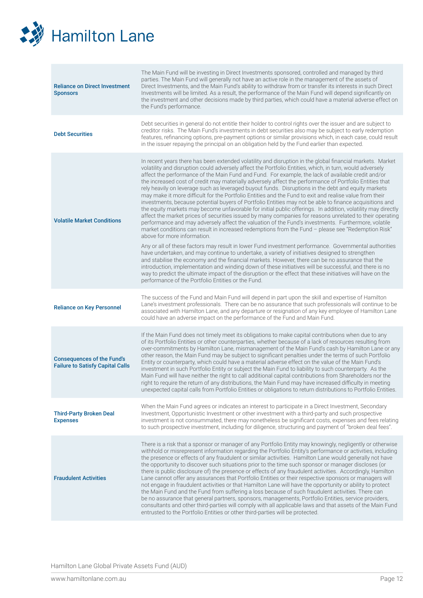

| <b>Reliance on Direct Investment</b><br><b>Sponsors</b>                      | The Main Fund will be investing in Direct Investments sponsored, controlled and managed by third<br>parties. The Main Fund will generally not have an active role in the management of the assets of<br>Direct Investments, and the Main Fund's ability to withdraw from or transfer its interests in such Direct<br>Investments will be limited. As a result, the performance of the Main Fund will depend significantly on<br>the investment and other decisions made by third parties, which could have a material adverse effect on<br>the Fund's performance.                                                                                                                                                                                                                                                                                                                                                                                                                                                                                                                                                                                                                                                                          |
|------------------------------------------------------------------------------|---------------------------------------------------------------------------------------------------------------------------------------------------------------------------------------------------------------------------------------------------------------------------------------------------------------------------------------------------------------------------------------------------------------------------------------------------------------------------------------------------------------------------------------------------------------------------------------------------------------------------------------------------------------------------------------------------------------------------------------------------------------------------------------------------------------------------------------------------------------------------------------------------------------------------------------------------------------------------------------------------------------------------------------------------------------------------------------------------------------------------------------------------------------------------------------------------------------------------------------------|
| <b>Debt Securities</b>                                                       | Debt securities in general do not entitle their holder to control rights over the issuer and are subject to<br>creditor risks. The Main Fund's investments in debt securities also may be subject to early redemption<br>features, refinancing options, pre-payment options or similar provisions which, in each case, could result<br>in the issuer repaying the principal on an obligation held by the Fund earlier than expected.                                                                                                                                                                                                                                                                                                                                                                                                                                                                                                                                                                                                                                                                                                                                                                                                        |
| <b>Volatile Market Conditions</b>                                            | In recent years there has been extended volatility and disruption in the global financial markets. Market<br>volatility and disruption could adversely affect the Portfolio Entities, which, in turn, would adversely<br>affect the performance of the Main Fund and Fund. For example, the lack of available credit and/or<br>the increased cost of credit may materially adversely affect the performance of Portfolio Entities that<br>rely heavily on leverage such as leveraged buyout funds. Disruptions in the debt and equity markets<br>may make it more difficult for the Portfolio Entities and the Fund to exit and realise value from their<br>investments, because potential buyers of Portfolio Entities may not be able to finance acquisitions and<br>the equity markets may become unfavorable for initial public offerings. In addition, volatility may directly<br>affect the market prices of securities issued by many companies for reasons unrelated to their operating<br>performance and may adversely affect the valuation of the Fund's investments. Furthermore, volatile<br>market conditions can result in increased redemptions from the Fund - please see "Redemption Risk"<br>above for more information. |
|                                                                              | Any or all of these factors may result in lower Fund investment performance. Governmental authorities<br>have undertaken, and may continue to undertake, a variety of initiatives designed to strengthen<br>and stabilise the economy and the financial markets. However, there can be no assurance that the<br>introduction, implementation and winding down of these initiatives will be successful, and there is no<br>way to predict the ultimate impact of the disruption or the effect that these initiatives will have on the<br>performance of the Portfolio Entities or the Fund.                                                                                                                                                                                                                                                                                                                                                                                                                                                                                                                                                                                                                                                  |
| <b>Reliance on Key Personnel</b>                                             | The success of the Fund and Main Fund will depend in part upon the skill and expertise of Hamilton<br>Lane's investment professionals. There can be no assurance that such professionals will continue to be<br>associated with Hamilton Lane, and any departure or resignation of any key employee of Hamilton Lane<br>could have an adverse impact on the performance of the Fund and Main Fund.                                                                                                                                                                                                                                                                                                                                                                                                                                                                                                                                                                                                                                                                                                                                                                                                                                          |
| <b>Consequences of the Fund's</b><br><b>Failure to Satisfy Capital Calls</b> | If the Main Fund does not timely meet its obligations to make capital contributions when due to any<br>of its Portfolio Entities or other counterparties, whether because of a lack of resources resulting from<br>over-commitments by Hamilton Lane, mismanagement of the Main Fund's cash by Hamilton Lane or any<br>other reason, the Main Fund may be subject to significant penalties under the terms of such Portfolio<br>Entity or counterparty, which could have a material adverse effect on the value of the Main Fund's<br>investment in such Portfolio Entity or subject the Main Fund to liability to such counterparty. As the<br>Main Fund will have neither the right to call additional capital contributions from Shareholders nor the<br>right to require the return of any distributions, the Main Fund may have increased difficulty in meeting<br>unexpected capital calls from Portfolio Entities or obligations to return distributions to Portfolio Entities.                                                                                                                                                                                                                                                      |
| <b>Third-Party Broken Deal</b><br><b>Expenses</b>                            | When the Main Fund agrees or indicates an interest to participate in a Direct Investment, Secondary<br>Investment, Opportunistic Investment or other investment with a third-party and such prospective<br>investment is not consummated, there may nonetheless be significant costs, expenses and fees relating<br>to such prospective investment, including for diligence, structuring and payment of "broken deal fees".                                                                                                                                                                                                                                                                                                                                                                                                                                                                                                                                                                                                                                                                                                                                                                                                                 |
| <b>Fraudulent Activities</b>                                                 | There is a risk that a sponsor or manager of any Portfolio Entity may knowingly, negligently or otherwise<br>withhold or misrepresent information regarding the Portfolio Entity's performance or activities, including<br>the presence or effects of any fraudulent or similar activities. Hamilton Lane would generally not have<br>the opportunity to discover such situations prior to the time such sponsor or manager discloses (or<br>there is public disclosure of) the presence or effects of any fraudulent activities. Accordingly, Hamilton<br>Lane cannot offer any assurances that Portfolio Entities or their respective sponsors or managers will<br>not engage in fraudulent activities or that Hamilton Lane will have the opportunity or ability to protect<br>the Main Fund and the Fund from suffering a loss because of such fraudulent activities. There can<br>be no assurance that general partners, sponsors, managements, Portfolio Entities, service providers,<br>consultants and other third-parties will comply with all applicable laws and that assets of the Main Fund<br>entrusted to the Portfolio Entities or other third-parties will be protected.                                                   |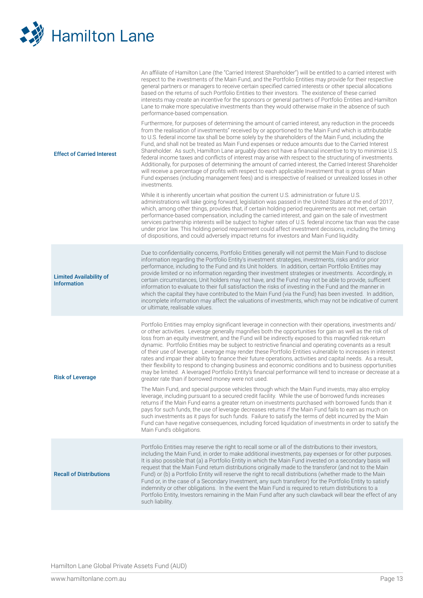

| <b>Effect of Carried Interest</b>                    | An affiliate of Hamilton Lane (the "Carried Interest Shareholder") will be entitled to a carried interest with<br>respect to the investments of the Main Fund, and the Portfolio Entities may provide for their respective<br>general partners or managers to receive certain specified carried interests or other special allocations<br>based on the returns of such Portfolio Entities to their investors. The existence of these carried<br>interests may create an incentive for the sponsors or general partners of Portfolio Entities and Hamilton<br>Lane to make more speculative investments than they would otherwise make in the absence of such<br>performance-based compensation.<br>Furthermore, for purposes of determining the amount of carried interest, any reduction in the proceeds<br>from the realisation of investments" received by or apportioned to the Main Fund which is attributable<br>to U.S. federal income tax shall be borne solely by the shareholders of the Main Fund, including the<br>Fund, and shall not be treated as Main Fund expenses or reduce amounts due to the Carried Interest<br>Shareholder. As such, Hamilton Lane arguably does not have a financial incentive to try to minimise U.S.<br>federal income taxes and conflicts of interest may arise with respect to the structuring of investments.<br>Additionally, for purposes of determining the amount of carried interest, the Carried Interest Shareholder<br>will receive a percentage of profits with respect to each applicable Investment that is gross of Main<br>Fund expenses (including management fees) and is irrespective of realised or unrealized losses in other<br>investments.<br>While it is inherently uncertain what position the current U.S. administration or future U.S.<br>administrations will take going forward, legislation was passed in the United States at the end of 2017,<br>which, among other things, provides that, if certain holding period requirements are not met, certain<br>performance-based compensation, including the carried interest, and gain on the sale of investment<br>services partnership interests will be subject to higher rates of U.S. federal income tax than was the case<br>under prior law. This holding period requirement could affect investment decisions, including the timing<br>of dispositions, and could adversely impact returns for investors and Main Fund liquidity. |
|------------------------------------------------------|------------------------------------------------------------------------------------------------------------------------------------------------------------------------------------------------------------------------------------------------------------------------------------------------------------------------------------------------------------------------------------------------------------------------------------------------------------------------------------------------------------------------------------------------------------------------------------------------------------------------------------------------------------------------------------------------------------------------------------------------------------------------------------------------------------------------------------------------------------------------------------------------------------------------------------------------------------------------------------------------------------------------------------------------------------------------------------------------------------------------------------------------------------------------------------------------------------------------------------------------------------------------------------------------------------------------------------------------------------------------------------------------------------------------------------------------------------------------------------------------------------------------------------------------------------------------------------------------------------------------------------------------------------------------------------------------------------------------------------------------------------------------------------------------------------------------------------------------------------------------------------------------------------------------------------------------------------------------------------------------------------------------------------------------------------------------------------------------------------------------------------------------------------------------------------------------------------------------------------------------------------------------------------------------------------------------------------------------------------------------------------------------------------------------------------------------------------------|
| <b>Limited Availability of</b><br><b>Information</b> | Due to confidentiality concerns, Portfolio Entities generally will not permit the Main Fund to disclose<br>information regarding the Portfolio Entity's investment strategies, investments, risks and/or prior<br>performance, including to the Fund and its Unit holders. In addition, certain Portfolio Entities may<br>provide limited or no information regarding their investment strategies or investments. Accordingly, in<br>certain circumstances, Unit holders may not have, and the Fund may not be able to provide, sufficient<br>information to evaluate to their full satisfaction the risks of investing in the Fund and the manner in<br>which the capital they have contributed to the Main Fund (via the Fund) has been invested. In addition,<br>incomplete information may affect the valuations of investments, which may not be indicative of current<br>or ultimate, realisable values.                                                                                                                                                                                                                                                                                                                                                                                                                                                                                                                                                                                                                                                                                                                                                                                                                                                                                                                                                                                                                                                                                                                                                                                                                                                                                                                                                                                                                                                                                                                                                   |
| <b>Risk of Leverage</b>                              | Portfolio Entities may employ significant leverage in connection with their operations, investments and/<br>or other activities. Leverage generally magnifies both the opportunities for gain as well as the risk of<br>loss from an equity investment, and the Fund will be indirectly exposed to this magnified risk-return<br>dynamic. Portfolio Entities may be subject to restrictive financial and operating covenants as a result<br>of their use of leverage. Leverage may render these Portfolio Entities vulnerable to increases in interest<br>rates and impair their ability to finance their future operations, activities and capital needs. As a result,<br>their flexibility to respond to changing business and economic conditions and to business opportunities<br>may be limited. A leveraged Portfolio Entity's financial performance will tend to increase or decrease at a<br>greater rate than if borrowed money were not used.<br>The Main Fund, and special purpose vehicles through which the Main Fund invests, may also employ<br>leverage, including pursuant to a secured credit facility. While the use of borrowed funds increases<br>returns if the Main Fund earns a greater return on investments purchased with borrowed funds than it<br>pays for such funds, the use of leverage decreases returns if the Main Fund fails to earn as much on<br>such investments as it pays for such funds. Failure to satisfy the terms of debt incurred by the Main<br>Fund can have negative consequences, including forced liquidation of investments in order to satisfy the<br>Main Fund's obligations.                                                                                                                                                                                                                                                                                                                                                                                                                                                                                                                                                                                                                                                                                                                                                                                                                             |
| <b>Recall of Distributions</b>                       | Portfolio Entities may reserve the right to recall some or all of the distributions to their investors,<br>including the Main Fund, in order to make additional investments, pay expenses or for other purposes.<br>It is also possible that (a) a Portfolio Entity in which the Main Fund invested on a secondary basis will<br>request that the Main Fund return distributions originally made to the transferor (and not to the Main<br>Fund) or (b) a Portfolio Entity will reserve the right to recall distributions (whether made to the Main<br>Fund or, in the case of a Secondary Investment, any such transferor) for the Portfolio Entity to satisfy<br>indemnity or other obligations. In the event the Main Fund is required to return distributions to a<br>Portfolio Entity, Investors remaining in the Main Fund after any such clawback will bear the effect of any<br>such liability.                                                                                                                                                                                                                                                                                                                                                                                                                                                                                                                                                                                                                                                                                                                                                                                                                                                                                                                                                                                                                                                                                                                                                                                                                                                                                                                                                                                                                                                                                                                                                          |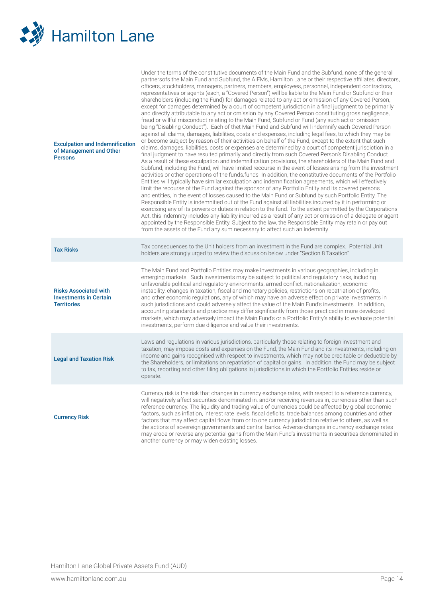

| <b>Exculpation and Indemnification</b><br>of Management and Other<br><b>Persons</b> | Under the terms of the constitutive documents of the Main Fund and the Subfund, none of the general<br>partnersofs the Main Fund and Subfund, the AIFMs, Hamilton Lane or their respective affiliates, directors,<br>officers, stockholders, managers, partners, members, employees, personnel, independent contractors,<br>representatives or agents (each, a "Covered Person") will be liable to the Main Fund or Subfund or their<br>shareholders (including the Fund) for damages related to any act or omission of any Covered Person,<br>except for damages determined by a court of competent jurisdiction in a final judgment to be primarily<br>and directly attributable to any act or omission by any Covered Person constituting gross negligence,<br>fraud or willful misconduct relating to the Main Fund, Subfund or Fund (any such act or omission<br>being "Disabling Conduct"). Each of thet Main Fund and Subfund will indemnify each Covered Person<br>against all claims, damages, liabilities, costs and expenses, including legal fees, to which they may be<br>or become subject by reason of their activities on behalf of the Fund, except to the extent that such<br>claims, damages, liabilities, costs or expenses are determined by a court of competent jurisdiction in a<br>final judgment to have resulted primarily and directly from such Covered Person's Disabling Conduct.<br>As a result of these exculpation and indemnification provisions, the shareholders of the Main Fund and<br>Subfund, including the Fund, will have limited recourse in the event of losses arising from the investment<br>activities or other operations of the funds funds In addition, the constitutive documents of the Portfolio<br>Entities will typically have similar exculpation and indemnification agreements, which will effectively<br>limit the recourse of the Fund against the sponsor of any Portfolio Entity and its covered persons<br>and entities, in the event of losses caused to the Main Fund or Subfund by such Portfolio Entity. The<br>Responsible Entity is indemnified out of the Fund against all liabilities incurred by it in performing or<br>exercising any of its powers or duties in relation to the fund. To the extent permitted by the Corporations<br>Act, this indemnity includes any liability incurred as a result of any act or omission of a delegate or agent<br>appointed by the Responsible Entity. Subject to the law, the Responsible Entity may retain or pay out<br>from the assets of the Fund any sum necessary to affect such an indemnity. |  |
|-------------------------------------------------------------------------------------|----------------------------------------------------------------------------------------------------------------------------------------------------------------------------------------------------------------------------------------------------------------------------------------------------------------------------------------------------------------------------------------------------------------------------------------------------------------------------------------------------------------------------------------------------------------------------------------------------------------------------------------------------------------------------------------------------------------------------------------------------------------------------------------------------------------------------------------------------------------------------------------------------------------------------------------------------------------------------------------------------------------------------------------------------------------------------------------------------------------------------------------------------------------------------------------------------------------------------------------------------------------------------------------------------------------------------------------------------------------------------------------------------------------------------------------------------------------------------------------------------------------------------------------------------------------------------------------------------------------------------------------------------------------------------------------------------------------------------------------------------------------------------------------------------------------------------------------------------------------------------------------------------------------------------------------------------------------------------------------------------------------------------------------------------------------------------------------------------------------------------------------------------------------------------------------------------------------------------------------------------------------------------------------------------------------------------------------------------------------------------------------------------------------------------------------------------------------------------------------------------------------------------------------------------------------------------------------------------------------------|--|
| <b>Tax Risks</b>                                                                    | Tax consequences to the Unit holders from an investment in the Fund are complex. Potential Unit<br>holders are strongly urged to review the discussion below under "Section 8 Taxation"                                                                                                                                                                                                                                                                                                                                                                                                                                                                                                                                                                                                                                                                                                                                                                                                                                                                                                                                                                                                                                                                                                                                                                                                                                                                                                                                                                                                                                                                                                                                                                                                                                                                                                                                                                                                                                                                                                                                                                                                                                                                                                                                                                                                                                                                                                                                                                                                                              |  |
| <b>Risks Associated with</b><br><b>Investments in Certain</b><br><b>Territories</b> | The Main Fund and Portfolio Entities may make investments in various geographies, including in<br>emerging markets. Such investments may be subject to political and regulatory risks, including<br>unfavorable political and regulatory environments, armed conflict, nationalization, economic<br>instability, changes in taxation, fiscal and monetary policies, restrictions on repatriation of profits,<br>and other economic regulations, any of which may have an adverse effect on private investments in<br>such jurisdictions and could adversely affect the value of the Main Fund's investments. In addition,<br>accounting standards and practice may differ significantly from those practiced in more developed<br>markets, which may adversely impact the Main Fund's or a Portfolio Entity's ability to evaluate potential<br>investments, perform due diligence and value their investments.                                                                                                                                                                                                                                                                                                                                                                                                                                                                                                                                                                                                                                                                                                                                                                                                                                                                                                                                                                                                                                                                                                                                                                                                                                                                                                                                                                                                                                                                                                                                                                                                                                                                                                       |  |
| <b>Legal and Taxation Risk</b>                                                      | Laws and regulations in various jurisdictions, particularly those relating to foreign investment and<br>taxation, may impose costs and expenses on the Fund, the Main Fund and its investments, including on<br>income and gains recognised with respect to investments, which may not be creditable or deductible by<br>the Shareholders, or limitations on repatriation of capital or gains. In addition, the Fund may be subject<br>to tax, reporting and other filing obligations in jurisdictions in which the Portfolio Entities reside or<br>operate.                                                                                                                                                                                                                                                                                                                                                                                                                                                                                                                                                                                                                                                                                                                                                                                                                                                                                                                                                                                                                                                                                                                                                                                                                                                                                                                                                                                                                                                                                                                                                                                                                                                                                                                                                                                                                                                                                                                                                                                                                                                         |  |
| <b>Currency Risk</b>                                                                | Currency risk is the risk that changes in currency exchange rates, with respect to a reference currency,<br>will negatively affect securities denominated in, and/or receiving revenues in, currencies other than such<br>reference currency. The liquidity and trading value of currencies could be affected by global economic<br>factors, such as inflation, interest rate levels, fiscal deficits, trade balances among countries and other<br>factors that may affect capital flows from or to one currency jurisdiction relative to others, as well as<br>the actions of sovereign governments and central banks. Adverse changes in currency exchange rates<br>may erode or reverse any potential gains from the Main Fund's investments in securities denominated in<br>another currency or may widen existing losses.                                                                                                                                                                                                                                                                                                                                                                                                                                                                                                                                                                                                                                                                                                                                                                                                                                                                                                                                                                                                                                                                                                                                                                                                                                                                                                                                                                                                                                                                                                                                                                                                                                                                                                                                                                                       |  |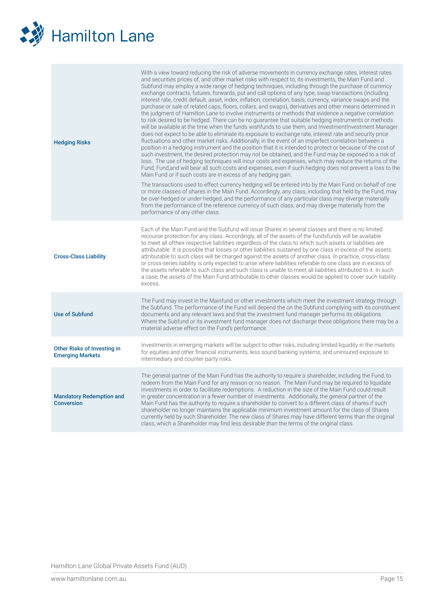

| <b>Hedging Risks</b>                                          | With a view toward reducing the risk of adverse movements in currency exchange rates, interest rates<br>and securities prices of, and other market risks with respect to, its investments, the Main Fund and<br>Subfund may employ a wide range of hedging techniques, including through the purchase of currency<br>exchange contracts, futures, forwards, put and call options of any type, swap transactions (including<br>interest rate, credit default, asset, index, inflation, correlation, basis, currency, variance swaps and the<br>purchase or sale of related caps, floors, collars, and swaps), derivatives and other means determined in<br>the judgment of Hamilton Lane to involve instruments or methods that evidence a negative correlation<br>to risk desired to be hedged. There can be no guarantee that suitable hedging instruments or methods<br>will be available at the time when the funds wishfunds to use them, and InvestmentInvestment Manager<br>does not expect to be able to eliminate its exposure to exchange rate, interest rate and security price<br>fluctuations and other market risks. Additionally, in the event of an imperfect correlation between a<br>position in a hedging instrument and the position that it is intended to protect or because of the cost of<br>such investment, the desired protection may not be obtained, and the Fund may be exposed to a risk of<br>loss. The use of hedging techniques will incur costs and expenses, which may reduce the returns of the<br>Fund, Fund, and will bear all such costs and expenses, even if such hedging does not prevent a loss to the<br>Main Fund or if such costs are in excess of any hedging gain.<br>The transactions used to effect currency hedging will be entered into by the Main Fund on behalf of one<br>or more classes of shares in the Main Fund. Accordingly, any class, including that held by the Fund, may<br>be over-hedged or under-hedged, and the performance of any particular class may diverge materially<br>from the performance of the reference currency of such class, and may diverge materially from the<br>performance of any other class. |  |
|---------------------------------------------------------------|-----------------------------------------------------------------------------------------------------------------------------------------------------------------------------------------------------------------------------------------------------------------------------------------------------------------------------------------------------------------------------------------------------------------------------------------------------------------------------------------------------------------------------------------------------------------------------------------------------------------------------------------------------------------------------------------------------------------------------------------------------------------------------------------------------------------------------------------------------------------------------------------------------------------------------------------------------------------------------------------------------------------------------------------------------------------------------------------------------------------------------------------------------------------------------------------------------------------------------------------------------------------------------------------------------------------------------------------------------------------------------------------------------------------------------------------------------------------------------------------------------------------------------------------------------------------------------------------------------------------------------------------------------------------------------------------------------------------------------------------------------------------------------------------------------------------------------------------------------------------------------------------------------------------------------------------------------------------------------------------------------------------------------------------------------------------------------------------------------------------------------------------------------------------------------------------|--|
|                                                               | Each of the Main Fund and the Subfund will issue Shares in several classes and there is no limited                                                                                                                                                                                                                                                                                                                                                                                                                                                                                                                                                                                                                                                                                                                                                                                                                                                                                                                                                                                                                                                                                                                                                                                                                                                                                                                                                                                                                                                                                                                                                                                                                                                                                                                                                                                                                                                                                                                                                                                                                                                                                      |  |
| <b>Cross-Class Liability</b>                                  | recourse protection for any class. Accordingly, all of the assets of the fundsfunds will be available<br>to meet all oftheir respective liabilities regardless of the class to which such assets or liabilities are<br>attributable. It is possible that losses or other liabilities sustained by one class in excess of the assets<br>attributable to such class will be charged against the assets of another class. In practice, cross-class<br>or cross-series liability is only expected to arise where liabilities referable to one class are in excess of<br>the assets referable to such class and such class is unable to meet all liabilities attributed to it. In such<br>a case, the assets of the Main Fund attributable to other classes would be applied to cover such liability<br>excess.                                                                                                                                                                                                                                                                                                                                                                                                                                                                                                                                                                                                                                                                                                                                                                                                                                                                                                                                                                                                                                                                                                                                                                                                                                                                                                                                                                              |  |
| <b>Use of Subfund</b>                                         | The Fund may invest in the Mainfund or other investments which meet the investment strategy through<br>the Subfund. The performance of the Fund will depend the on the Subfund complying with its constituent<br>documents and any relevant laws and that the investment fund manager performs its obligations.<br>Where the Subfund or its investment fund manager does not discharge these obligations there may be a<br>material adverse effect on the Fund's performance.                                                                                                                                                                                                                                                                                                                                                                                                                                                                                                                                                                                                                                                                                                                                                                                                                                                                                                                                                                                                                                                                                                                                                                                                                                                                                                                                                                                                                                                                                                                                                                                                                                                                                                           |  |
| <b>Other Risks of Investing in</b><br><b>Emerging Markets</b> | Investments in emerging markets will be subject to other risks, including limited liquidity in the markets<br>for equities and other financial instruments, less sound banking systems, and uninsured exposure to<br>intermediary and counter-party risks.                                                                                                                                                                                                                                                                                                                                                                                                                                                                                                                                                                                                                                                                                                                                                                                                                                                                                                                                                                                                                                                                                                                                                                                                                                                                                                                                                                                                                                                                                                                                                                                                                                                                                                                                                                                                                                                                                                                              |  |
| <b>Mandatory Redemption and</b><br><b>Conversion</b>          | The general partner of the Main Fund has the authority to reguire a shareholder, including the Fund, to<br>redeem from the Main Fund for any reason or no reason. The Main Fund may be required to liquidate<br>investments in order to facilitate redemptions. A reduction in the size of the Main Fund could result<br>in greater concentration in a fewer number of investments. Additionally, the general partner of the<br>Main Fund has the authority to require a shareholder to convert to a different class of shares if such<br>shareholder no longer maintains the applicable minimum investment amount for the class of Shares<br>currently held by such Shareholder. The new class of Shares may have different terms than the original<br>class, which a Shareholder may find less desirable than the terms of the original class.                                                                                                                                                                                                                                                                                                                                                                                                                                                                                                                                                                                                                                                                                                                                                                                                                                                                                                                                                                                                                                                                                                                                                                                                                                                                                                                                        |  |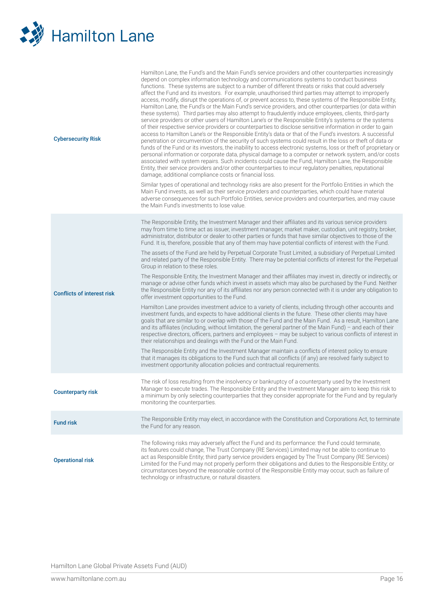

| <b>Cybersecurity Risk</b>         | Hamilton Lane, the Fund's and the Main Fund's service providers and other counterparties increasingly<br>depend on complex information technology and communications systems to conduct business<br>functions. These systems are subject to a number of different threats or risks that could adversely<br>affect the Fund and its investors. For example, unauthorised third parties may attempt to improperly<br>access, modify, disrupt the operations of, or prevent access to, these systems of the Responsible Entity,<br>Hamilton Lane, the Fund's or the Main Fund's service providers, and other counterparties (or data within<br>these systems). Third parties may also attempt to fraudulently induce employees, clients, third-party<br>service providers or other users of Hamilton Lane's or the Responsible Entity's systems or the systems<br>of their respective service providers or counterparties to disclose sensitive information in order to gain<br>access to Hamilton Lane's or the Responsible Entity's data or that of the Fund's investors. A successful<br>penetration or circumvention of the security of such systems could result in the loss or theft of data or<br>funds of the Fund or its investors, the inability to access electronic systems, loss or theft of proprietary or<br>personal information or corporate data, physical damage to a computer or network system, and/or costs<br>associated with system repairs. Such incidents could cause the Fund, Hamilton Lane, the Responsible<br>Entity, their service providers and/or other counterparties to incur regulatory penalties, reputational<br>damage, additional compliance costs or financial loss.<br>Similar types of operational and technology risks are also present for the Portfolio Entities in which the<br>Main Fund invests, as well as their service providers and counterparties, which could have material<br>adverse consequences for such Portfolio Entities, service providers and counterparties, and may cause<br>the Main Fund's investments to lose value. |  |
|-----------------------------------|----------------------------------------------------------------------------------------------------------------------------------------------------------------------------------------------------------------------------------------------------------------------------------------------------------------------------------------------------------------------------------------------------------------------------------------------------------------------------------------------------------------------------------------------------------------------------------------------------------------------------------------------------------------------------------------------------------------------------------------------------------------------------------------------------------------------------------------------------------------------------------------------------------------------------------------------------------------------------------------------------------------------------------------------------------------------------------------------------------------------------------------------------------------------------------------------------------------------------------------------------------------------------------------------------------------------------------------------------------------------------------------------------------------------------------------------------------------------------------------------------------------------------------------------------------------------------------------------------------------------------------------------------------------------------------------------------------------------------------------------------------------------------------------------------------------------------------------------------------------------------------------------------------------------------------------------------------------------------------------------------------------------------------------------------------------------------------------|--|
| <b>Conflicts of interest risk</b> | The Responsible Entity, the Investment Manager and their affiliates and its various service providers<br>may from time to time act as issuer, investment manager, market maker, custodian, unit registry, broker,<br>administrator, distributor or dealer to other parties or funds that have similar objectives to those of the<br>Fund. It is, therefore, possible that any of them may have potential conflicts of interest with the Fund.<br>The assets of the Fund are held by Perpetual Corporate Trust Limited, a subsidiary of Perpetual Limited<br>and related party of the Responsible Entity. There may be potential conflicts of interest for the Perpetual<br>Group in relation to these roles.<br>The Responsible Entity, the Investment Manager and their affiliates may invest in, directly or indirectly, or<br>manage or advise other funds which invest in assets which may also be purchased by the Fund. Neither<br>the Responsible Entity nor any of its affiliates nor any person connected with it is under any obligation to<br>offer investment opportunities to the Fund.<br>Hamilton Lane provides investment advice to a variety of clients, including through other accounts and<br>investment funds, and expects to have additional clients in the future. These other clients may have<br>goals that are similar to or overlap with those of the Fund and the Main Fund. As a result, Hamilton Lane<br>and its affiliates (including, without limitation, the general partner of the Main Fund) - and each of their<br>respective directors, officers, partners and employees - may be subject to various conflicts of interest in<br>their relationships and dealings with the Fund or the Main Fund.<br>The Responsible Entity and the Investment Manager maintain a conflicts of interest policy to ensure<br>that it manages its obligations to the Fund such that all conflicts (if any) are resolved fairly subject to<br>investment opportunity allocation policies and contractual requirements.                                               |  |
| <b>Counterparty risk</b>          | The risk of loss resulting from the insolvency or bankruptcy of a counterparty used by the Investment<br>Manager to execute trades. The Responsible Entity and the Investment Manager aim to keep this risk to<br>a minimum by only selecting counterparties that they consider appropriate for the Fund and by regularly<br>monitoring the counterparties.                                                                                                                                                                                                                                                                                                                                                                                                                                                                                                                                                                                                                                                                                                                                                                                                                                                                                                                                                                                                                                                                                                                                                                                                                                                                                                                                                                                                                                                                                                                                                                                                                                                                                                                            |  |
| <b>Fund risk</b>                  | The Responsible Entity may elect, in accordance with the Constitution and Corporations Act, to terminate<br>the Fund for any reason.                                                                                                                                                                                                                                                                                                                                                                                                                                                                                                                                                                                                                                                                                                                                                                                                                                                                                                                                                                                                                                                                                                                                                                                                                                                                                                                                                                                                                                                                                                                                                                                                                                                                                                                                                                                                                                                                                                                                                   |  |
| <b>Operational risk</b>           | The following risks may adversely affect the Fund and its performance: the Fund could terminate,<br>its features could change, The Trust Company (RE Services) Limited may not be able to continue to<br>act as Responsible Entity; third party service providers engaged by The Trust Company (RE Services)<br>Limited for the Fund may not properly perform their obligations and duties to the Responsible Entity; or<br>circumstances beyond the reasonable control of the Responsible Entity may occur, such as failure of<br>technology or infrastructure, or natural disasters.                                                                                                                                                                                                                                                                                                                                                                                                                                                                                                                                                                                                                                                                                                                                                                                                                                                                                                                                                                                                                                                                                                                                                                                                                                                                                                                                                                                                                                                                                                 |  |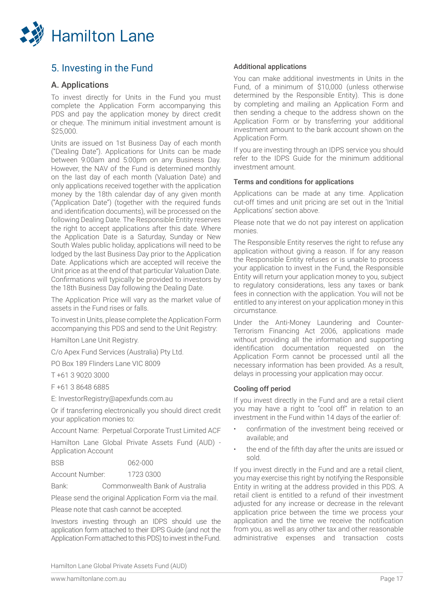

## 5. Investing in the Fund

## A. Applications

To invest directly for Units in the Fund you must complete the Application Form accompanying this PDS and pay the application money by direct credit or cheque. The minimum initial investment amount is  $$25,000$ 

Units are issued on 1st Business Day of each month ("Dealing Date"). Applications for Units can be made between 9:00am and 5:00pm on any Business Day. However, the NAV of the Fund is determined monthly on the last day of each month (Valuation Date) and only applications received together with the application money by the 18th calendar day of any given month ("Application Date") (together with the required funds and identification documents), will be processed on the following Dealing Date. The Responsible Entity reserves the right to accept applications after this date. Where the Application Date is a Saturday, Sunday or New South Wales public holiday, applications will need to be lodged by the last Business Day prior to the Application Date. Applications which are accepted will receive the Unit price as at the end of that particular Valuation Date. Confirmations will typically be provided to investors by the 18th Business Day following the Dealing Date.

The Application Price will vary as the market value of assets in the Fund rises or falls.

To invest in Units, please complete the Application Form accompanying this PDS and send to the Unit Registry:

Hamilton Lane Unit Registry.

C/o Apex Fund Services (Australia) Pty Ltd.

PO Box 189 Flinders Lane VIC 8009

T +61 3 9020 3000

F +61 3 8648 6885

E: InvestorRegistry@apexfunds.com.au

Or if transferring electronically you should direct credit your application monies to:

Account Name: Perpetual Corporate Trust Limited ACF

Hamilton Lane Global Private Assets Fund (AUD) - Application Account

BSB 062-000

Account Number: 1723 0300

Bank: Commonwealth Bank of Australia

Please send the original Application Form via the mail.

Please note that cash cannot be accepted.

Investors investing through an IDPS should use the application form attached to their IDPS Guide (and not the Application Form attached to this PDS) to invest in the Fund.

## Additional applications

You can make additional investments in Units in the Fund, of a minimum of \$10,000 (unless otherwise determined by the Responsible Entity). This is done by completing and mailing an Application Form and then sending a cheque to the address shown on the Application Form or by transferring your additional investment amount to the bank account shown on the Application Form.

If you are investing through an IDPS service you should refer to the IDPS Guide for the minimum additional investment amount.

#### Terms and conditions for applications

Applications can be made at any time. Application cut-off times and unit pricing are set out in the 'Initial Applications' section above.

Please note that we do not pay interest on application monies.

The Responsible Entity reserves the right to refuse any application without giving a reason. If for any reason the Responsible Entity refuses or is unable to process your application to invest in the Fund, the Responsible Entity will return your application money to you, subject to regulatory considerations, less any taxes or bank fees in connection with the application. You will not be entitled to any interest on your application money in this circumstance.

Under the Anti-Money Laundering and Counter-Terrorism Financing Act 2006, applications made without providing all the information and supporting identification documentation requested on the Application Form cannot be processed until all the necessary information has been provided. As a result, delays in processing your application may occur.

## Cooling off period

If you invest directly in the Fund and are a retail client you may have a right to "cool off" in relation to an investment in the Fund within 14 days of the earlier of:

- confirmation of the investment being received or available; and
- the end of the fifth day after the units are issued or sold.

If you invest directly in the Fund and are a retail client, you may exercise this right by notifying the Responsible Entity in writing at the address provided in this PDS. A retail client is entitled to a refund of their investment adjusted for any increase or decrease in the relevant application price between the time we process your application and the time we receive the notification from you, as well as any other tax and other reasonable administrative expenses and transaction costs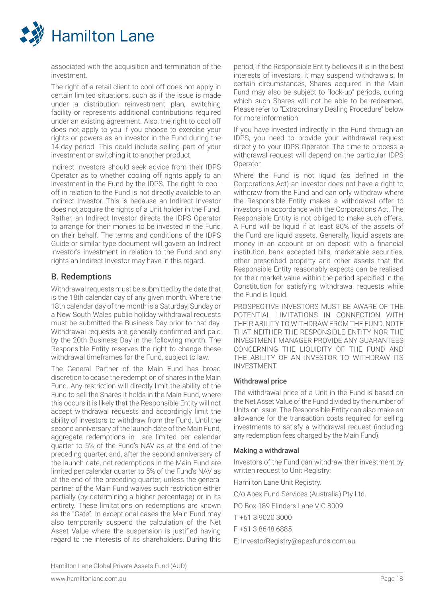

associated with the acquisition and termination of the investment.

The right of a retail client to cool off does not apply in certain limited situations, such as if the issue is made under a distribution reinvestment plan, switching facility or represents additional contributions required under an existing agreement. Also, the right to cool off does not apply to you if you choose to exercise your rights or powers as an investor in the Fund during the 14-day period. This could include selling part of your investment or switching it to another product.

Indirect Investors should seek advice from their IDPS Operator as to whether cooling off rights apply to an investment in the Fund by the IDPS. The right to cooloff in relation to the Fund is not directly available to an Indirect Investor. This is because an Indirect Investor does not acquire the rights of a Unit holder in the Fund. Rather, an Indirect Investor directs the IDPS Operator to arrange for their monies to be invested in the Fund on their behalf. The terms and conditions of the IDPS Guide or similar type document will govern an Indirect Investor's investment in relation to the Fund and any rights an Indirect Investor may have in this regard.

## B. Redemptions

Withdrawal requests must be submitted by the date that is the 18th calendar day of any given month. Where the 18th calendar day of the month is a Saturday, Sunday or a New South Wales public holiday withdrawal requests must be submitted the Business Day prior to that day. Withdrawal requests are generally confirmed and paid by the 20th Business Day in the following month. The Responsible Entity reserves the right to change these withdrawal timeframes for the Fund, subject to law.

The General Partner of the Main Fund has broad discretion to cease the redemption of shares in the Main Fund. Any restriction will directly limit the ability of the Fund to sell the Shares it holds in the Main Fund, where this occurs it is likely that the Responsible Entity will not accept withdrawal requests and accordingly limit the ability of investors to withdraw from the Fund. Until the second anniversary of the launch date of the Main Fund, aggregate redemptions in are limited per calendar quarter to 5% of the Fund's NAV as at the end of the preceding quarter, and, after the second anniversary of the launch date, net redemptions in the Main Fund are limited per calendar quarter to 5% of the Fund's NAV as at the end of the preceding quarter, unless the general partner of the Main Fund waives such restriction either partially (by determining a higher percentage) or in its entirety. These limitations on redemptions are known as the "Gate". In exceptional cases the Main Fund may also temporarily suspend the calculation of the Net Asset Value where the suspension is justified having regard to the interests of its shareholders. During this

period, if the Responsible Entity believes it is in the best interests of investors, it may suspend withdrawals. In certain circumstances, Shares acquired in the Main Fund may also be subject to "lock-up" periods, during which such Shares will not be able to be redeemed. Please refer to "Extraordinary Dealing Procedure" below for more information.

If you have invested indirectly in the Fund through an IDPS, you need to provide your withdrawal request directly to your IDPS Operator. The time to process a withdrawal request will depend on the particular IDPS Operator.

Where the Fund is not liquid (as defined in the Corporations Act) an investor does not have a right to withdraw from the Fund and can only withdraw where the Responsible Entity makes a withdrawal offer to investors in accordance with the Corporations Act. The Responsible Entity is not obliged to make such offers. A Fund will be liquid if at least 80% of the assets of the Fund are liquid assets. Generally, liquid assets are money in an account or on deposit with a financial institution, bank accepted bills, marketable securities, other prescribed property and other assets that the Responsible Entity reasonably expects can be realised for their market value within the period specified in the Constitution for satisfying withdrawal requests while the Fund is liquid.

PROSPECTIVE INVESTORS MUST BE AWARE OF THE POTENTIAL LIMITATIONS IN CONNECTION WITH THEIR ABILITY TO WITHDRAW FROM THE FUND. NOTE THAT NEITHER THE RESPONSIBLE ENTITY NOR THE INVESTMENT MANAGER PROVIDE ANY GUARANTEES CONCERNING THE LIQUIDITY OF THE FUND AND THE ABILITY OF AN INVESTOR TO WITHDRAW ITS INVESTMENT.

## Withdrawal price

The withdrawal price of a Unit in the Fund is based on the Net Asset Value of the Fund divided by the number of Units on issue. The Responsible Entity can also make an allowance for the transaction costs required for selling investments to satisfy a withdrawal request (including any redemption fees charged by the Main Fund).

## Making a withdrawal

Investors of the Fund can withdraw their investment by written request to Unit Registry:

Hamilton Lane Unit Registry.

C/o Apex Fund Services (Australia) Pty Ltd.

PO Box 189 Flinders Lane VIC 8009

T +61 3 9020 3000

F +61 3 8648 6885

E: InvestorRegistry@apexfunds.com.au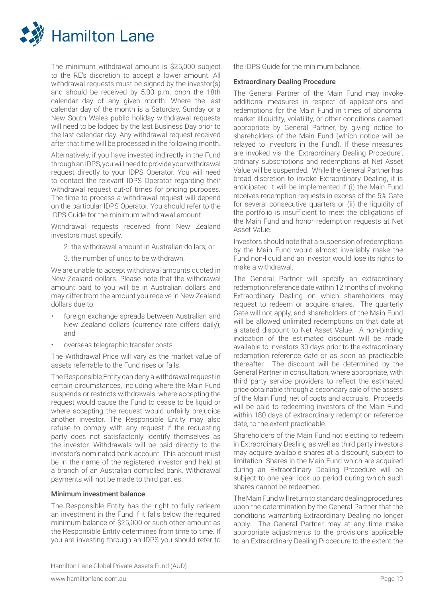

The minimum withdrawal amount is \$25,000 subject to the RE's discretion to accept a lower amount. All withdrawal requests must be signed by the investor(s) and should be received by 5.00 p.m. onon the 18th calendar day of any given month. Where the last calendar day of the month is a Saturday, Sunday or a New South Wales public holiday withdrawal requests will need to be lodged by the last Business Day prior to the last calendar day. Any withdrawal request received after that time will be processed in the following month.

Alternatively, if you have invested indirectly in the Fund through an IDPS, you will need to provide your withdrawal request directly to your IDPS Operator. You will need to contact the relevant IDPS Operator regarding their withdrawal request cut-of times for pricing purposes. The time to process a withdrawal request will depend on the particular IDPS Operator. You should refer to the IDPS Guide for the minimum withdrawal amount.

Withdrawal requests received from New Zealand investors must specify:

- 2. the withdrawal amount in Australian dollars; or
	- 3. the number of units to be withdrawn.

We are unable to accept withdrawal amounts quoted in New Zealand dollars. Please note that the withdrawal amount paid to you will be in Australian dollars and may differ from the amount you receive in New Zealand dollars due to:

- foreign exchange spreads between Australian and New Zealand dollars (currency rate differs daily); and
- overseas telegraphic transfer costs.

The Withdrawal Price will vary as the market value of assets referrable to the Fund rises or falls.

The Responsible Entity can deny a withdrawal request in certain circumstances, including where the Main Fund suspends or restricts withdrawals, where accepting the request would cause the Fund to cease to be liquid or where accepting the request would unfairly prejudice another investor. The Responsible Entity may also refuse to comply with any request if the requesting party does not satisfactorily identify themselves as the investor. Withdrawals will be paid directly to the investor's nominated bank account. This account must be in the name of the registered investor and held at a branch of an Australian domiciled bank. Withdrawal payments will not be made to third parties.

## Minimum investment balance

The Responsible Entity has the right to fully redeem an investment in the Fund if it falls below the required minimum balance of \$25,000 or such other amount as the Responsible Entity determines from time to time. If you are investing through an IDPS you should refer to the IDPS Guide for the minimum balance.

#### Extraordinary Dealing Procedure

The General Partner of the Main Fund may invoke additional measures in respect of applications and redemptions for the Main Fund in times of abnormal market illiquidity, volatility, or other conditions deemed appropriate by General Partner, by giving notice to shareholders of the Main Fund (which notice will be relayed to investors in the Fund). If these measures are invoked via the 'Extraordinary Dealing Procedure', ordinary subscriptions and redemptions at Net Asset Value will be suspended. While the General Partner has broad discretion to invoke Extraordinary Dealing, it is anticipated it will be implemented if (i) the Main Fund receives redemption requests in excess of the 5% Gate for several consecutive quarters or (ii) the liquidity of the portfolio is insufficient to meet the obligations of the Main Fund and honor redemption requests at Net Asset Value.

Investors should note that a suspension of redemptions by the Main Fund would almost invariably make the Fund non-liquid and an investor would lose its rights to make a withdrawal.

The General Partner will specify an extraordinary redemption reference date within 12 months of invoking Extraordinary Dealing on which shareholders may request to redeem or acquire shares. The quarterly Gate will not apply, and shareholders of the Main Fund will be allowed unlimited redemptions on that date at a stated discount to Net Asset Value. A non-binding indication of the estimated discount will be made available to investors 30 days prior to the extraordinary redemption reference date or as soon as practicable thereafter. The discount will be determined by the General Partner in consultation, where appropriate, with third party service providers to reflect the estimated price obtainable through a secondary sale of the assets of the Main Fund, net of costs and accruals. Proceeds will be paid to redeeming investors of the Main Fund within 180 days of extraordinary redemption reference date, to the extent practicable.

Shareholders of the Main Fund not electing to redeem in Extraordinary Dealing as well as third party investors may acquire available shares at a discount, subject to limitation. Shares in the Main Fund which are acquired during an Extraordinary Dealing Procedure will be subject to one year lock up period during which such shares cannot be redeemed.

The Main Fund will return to standard dealing procedures upon the determination by the General Partner that the conditions warranting Extraordinary Dealing no longer apply. The General Partner may at any time make appropriate adjustments to the provisions applicable to an Extraordinary Dealing Procedure to the extent the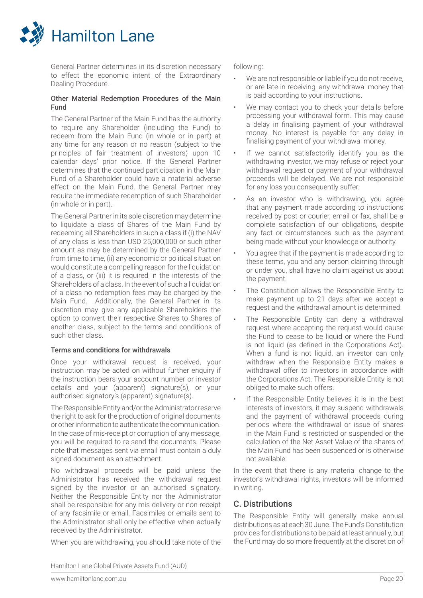

General Partner determines in its discretion necessary to effect the economic intent of the Extraordinary Dealing Procedure.

## Other Material Redemption Procedures of the Main Fund

The General Partner of the Main Fund has the authority to require any Shareholder (including the Fund) to redeem from the Main Fund (in whole or in part) at any time for any reason or no reason (subject to the principles of fair treatment of investors) upon 10 calendar days' prior notice. If the General Partner determines that the continued participation in the Main Fund of a Shareholder could have a material adverse effect on the Main Fund, the General Partner may require the immediate redemption of such Shareholder (in whole or in part).

The General Partner in its sole discretion may determine to liquidate a class of Shares of the Main Fund by redeeming all Shareholders in such a class if (i) the NAV of any class is less than USD 25,000,000 or such other amount as may be determined by the General Partner from time to time, (ii) any economic or political situation would constitute a compelling reason for the liquidation of a class, or (iii) it is required in the interests of the Shareholders of a class. In the event of such a liquidation of a class no redemption fees may be charged by the Main Fund. Additionally, the General Partner in its discretion may give any applicable Shareholders the option to convert their respective Shares to Shares of another class, subject to the terms and conditions of such other class.

## Terms and conditions for withdrawals

Once your withdrawal request is received, your instruction may be acted on without further enquiry if the instruction bears your account number or investor details and your (apparent) signature(s), or your authorised signatory's (apparent) signature(s).

The Responsible Entity and/or the Administrator reserve the right to ask for the production of original documents or other information to authenticate the communication. In the case of mis-receipt or corruption of any message, you will be required to re-send the documents. Please note that messages sent via email must contain a duly signed document as an attachment.

No withdrawal proceeds will be paid unless the Administrator has received the withdrawal request signed by the investor or an authorised signatory. Neither the Responsible Entity nor the Administrator shall be responsible for any mis-delivery or non-receipt of any facsimile or email. Facsimiles or emails sent to the Administrator shall only be effective when actually received by the Administrator.

When you are withdrawing, you should take note of the

following:

- We are not responsible or liable if you do not receive, or are late in receiving, any withdrawal money that is paid according to your instructions.
- We may contact you to check your details before processing your withdrawal form. This may cause a delay in finalising payment of your withdrawal money. No interest is payable for any delay in finalising payment of your withdrawal money.
- If we cannot satisfactorily identify you as the withdrawing investor, we may refuse or reject your withdrawal request or payment of your withdrawal proceeds will be delayed. We are not responsible for any loss you consequently suffer.
- As an investor who is withdrawing, you agree that any payment made according to instructions received by post or courier, email or fax, shall be a complete satisfaction of our obligations, despite any fact or circumstances such as the payment being made without your knowledge or authority.
- You agree that if the payment is made according to these terms, you and any person claiming through or under you, shall have no claim against us about the payment.
- The Constitution allows the Responsible Entity to make payment up to 21 days after we accept a request and the withdrawal amount is determined.
- The Responsible Entity can deny a withdrawal request where accepting the request would cause the Fund to cease to be liquid or where the Fund is not liquid (as defined in the Corporations Act). When a fund is not liquid, an investor can only withdraw when the Responsible Entity makes a withdrawal offer to investors in accordance with the Corporations Act. The Responsible Entity is not obliged to make such offers.
	- If the Responsible Entity believes it is in the best interests of investors, it may suspend withdrawals and the payment of withdrawal proceeds during periods where the withdrawal or issue of shares in the Main Fund is restricted or suspended or the calculation of the Net Asset Value of the shares of the Main Fund has been suspended or is otherwise not available.

In the event that there is any material change to the investor's withdrawal rights, investors will be informed in writing.

## C. Distributions

The Responsible Entity will generally make annual distributions as at each 30 June. The Fund's Constitution provides for distributions to be paid at least annually, but the Fund may do so more frequently at the discretion of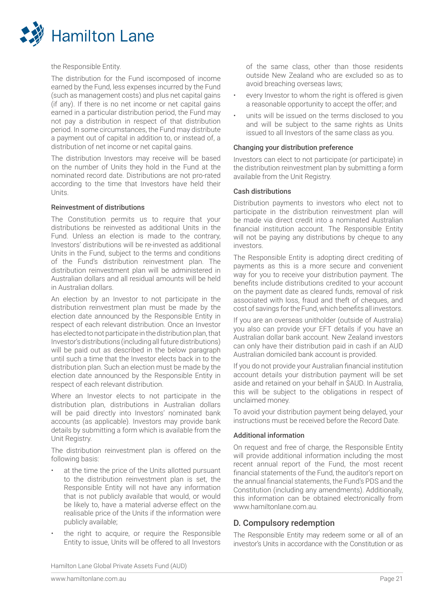

the Responsible Entity.

The distribution for the Fund iscomposed of income earned by the Fund, less expenses incurred by the Fund (such as management costs) and plus net capital gains (if any). If there is no net income or net capital gains earned in a particular distribution period, the Fund may not pay a distribution in respect of that distribution period. In some circumstances, the Fund may distribute a payment out of capital in addition to, or instead of, a distribution of net income or net capital gains.

The distribution Investors may receive will be based on the number of Units they hold in the Fund at the nominated record date. Distributions are not pro-rated according to the time that Investors have held their **Units** 

#### Reinvestment of distributions

The Constitution permits us to require that your distributions be reinvested as additional Units in the Fund. Unless an election is made to the contrary, Investors' distributions will be re-invested as additional Units in the Fund, subject to the terms and conditions of the Fund's distribution reinvestment plan. The distribution reinvestment plan will be administered in Australian dollars and all residual amounts will be held in Australian dollars.

An election by an Investor to not participate in the distribution reinvestment plan must be made by the election date announced by the Responsible Entity in respect of each relevant distribution. Once an Investor has elected to not participate in the distribution plan, that Investor's distributions (including all future distributions) will be paid out as described in the below paragraph until such a time that the Investor elects back in to the distribution plan. Such an election must be made by the election date announced by the Responsible Entity in respect of each relevant distribution.

Where an Investor elects to not participate in the distribution plan, distributions in Australian dollars will be paid directly into Investors' nominated bank accounts (as applicable). Investors may provide bank details by submitting a form which is available from the Unit Registry.

The distribution reinvestment plan is offered on the following basis:

- at the time the price of the Units allotted pursuant to the distribution reinvestment plan is set, the Responsible Entity will not have any information that is not publicly available that would, or would be likely to, have a material adverse effect on the realisable price of the Units if the information were publicly available;
- the right to acquire, or require the Responsible Entity to issue, Units will be offered to all Investors

of the same class, other than those residents outside New Zealand who are excluded so as to avoid breaching overseas laws;

- every Investor to whom the right is offered is given a reasonable opportunity to accept the offer; and
- units will be issued on the terms disclosed to you and will be subject to the same rights as Units issued to all Investors of the same class as you.

#### Changing your distribution preference

Investors can elect to not participate (or participate) in the distribution reinvestment plan by submitting a form available from the Unit Registry.

#### Cash distributions

Distribution payments to investors who elect not to participate in the distribution reinvestment plan will be made via direct credit into a nominated Australian financial institution account. The Responsible Entity will not be paying any distributions by cheque to any investors.

The Responsible Entity is adopting direct crediting of payments as this is a more secure and convenient way for you to receive your distribution payment. The benefits include distributions credited to your account on the payment date as cleared funds, removal of risk associated with loss, fraud and theft of cheques, and cost of savings for the Fund, which benefits all investors.

If you are an overseas unitholder (outside of Australia) you also can provide your EFT details if you have an Australian dollar bank account. New Zealand investors can only have their distribution paid in cash if an AUD Australian domiciled bank account is provided.

If you do not provide your Australian financial institution account details your distribution payment will be set aside and retained on your behalf in \$AUD. In Australia, this will be subject to the obligations in respect of unclaimed money.

To avoid your distribution payment being delayed, your instructions must be received before the Record Date.

## Additional information

On request and free of charge, the Responsible Entity will provide additional information including the most recent annual report of the Fund, the most recent financial statements of the Fund, the auditor's report on the annual financial statements, the Fund's PDS and the Constitution (including any amendments). Additionally, this information can be obtained electronically from www.hamiltonlane.com.au.

## D. Compulsory redemption

The Responsible Entity may redeem some or all of an investor's Units in accordance with the Constitution or as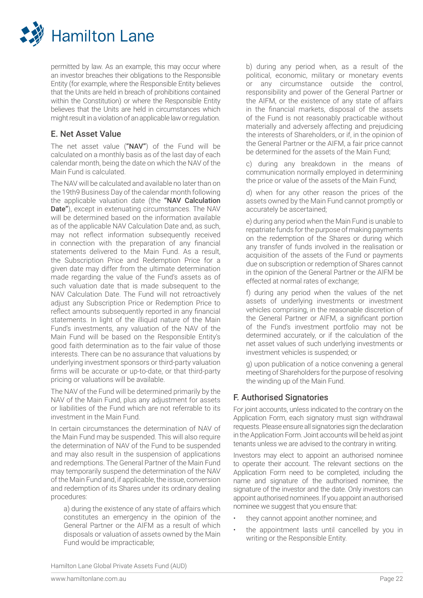

permitted by law. As an example, this may occur where an investor breaches their obligations to the Responsible Entity (for example, where the Responsible Entity believes that the Units are held in breach of prohibitions contained within the Constitution) or where the Responsible Entity believes that the Units are held in circumstances which might result in a violation of an applicable law or regulation.

## E. Net Asset Value

The net asset value ("NAV") of the Fund will be calculated on a monthly basis as of the last day of each calendar month, being the date on which the NAV of the Main Fund is calculated.

The NAV will be calculated and available no later than on the 19th9 Business Day of the calendar month following the applicable valuation date (the "NAV Calculation Date"), except in extenuating circumstances. The NAV will be determined based on the information available as of the applicable NAV Calculation Date and, as such, may not reflect information subsequently received in connection with the preparation of any financial statements delivered to the Main Fund. As a result, the Subscription Price and Redemption Price for a given date may differ from the ultimate determination made regarding the value of the Fund's assets as of such valuation date that is made subsequent to the NAV Calculation Date. The Fund will not retroactively adjust any Subscription Price or Redemption Price to reflect amounts subsequently reported in any financial statements. In light of the illiquid nature of the Main Fund's investments, any valuation of the NAV of the Main Fund will be based on the Responsible Entity's good faith determination as to the fair value of those interests. There can be no assurance that valuations by underlying investment sponsors or third-party valuation firms will be accurate or up-to-date, or that third-party pricing or valuations will be available.

The NAV of the Fund will be determined primarily by the NAV of the Main Fund, plus any adjustment for assets or liabilities of the Fund which are not referrable to its investment in the Main Fund.

In certain circumstances the determination of NAV of the Main Fund may be suspended. This will also require the determination of NAV of the Fund to be suspended and may also result in the suspension of applications and redemptions. The General Partner of the Main Fund may temporarily suspend the determination of the NAV of the Main Fund and, if applicable, the issue, conversion and redemption of its Shares under its ordinary dealing procedures:

a) during the existence of any state of affairs which constitutes an emergency in the opinion of the General Partner or the AIFM as a result of which disposals or valuation of assets owned by the Main Fund would be impracticable;

b) during any period when, as a result of the political, economic, military or monetary events or any circumstance outside the control, responsibility and power of the General Partner or the AIFM, or the existence of any state of affairs in the financial markets, disposal of the assets of the Fund is not reasonably practicable without materially and adversely affecting and prejudicing the interests of Shareholders, or if, in the opinion of the General Partner or the AIFM, a fair price cannot be determined for the assets of the Main Fund;

c) during any breakdown in the means of communication normally employed in determining the price or value of the assets of the Main Fund;

d) when for any other reason the prices of the assets owned by the Main Fund cannot promptly or accurately be ascertained;

e) during any period when the Main Fund is unable to repatriate funds for the purpose of making payments on the redemption of the Shares or during which any transfer of funds involved in the realisation or acquisition of the assets of the Fund or payments due on subscription or redemption of Shares cannot in the opinion of the General Partner or the AIFM be effected at normal rates of exchange;

f) during any period when the values of the net assets of underlying investments or investment vehicles comprising, in the reasonable discretion of the General Partner or AIFM, a significant portion of the Fund's investment portfolio may not be determined accurately, or if the calculation of the net asset values of such underlying investments or investment vehicles is suspended; or

g) upon publication of a notice convening a general meeting of Shareholders for the purpose of resolving the winding up of the Main Fund.

## F. Authorised Signatories

For joint accounts, unless indicated to the contrary on the Application Form, each signatory must sign withdrawal requests. Please ensure all signatories sign the declaration in the Application Form. Joint accounts will be held as joint tenants unless we are advised to the contrary in writing.

Investors may elect to appoint an authorised nominee to operate their account. The relevant sections on the Application Form need to be completed, including the name and signature of the authorised nominee, the signature of the investor and the date. Only investors can appoint authorised nominees. If you appoint an authorised nominee we suggest that you ensure that:

- they cannot appoint another nominee; and
- the appointment lasts until cancelled by you in writing or the Responsible Entity.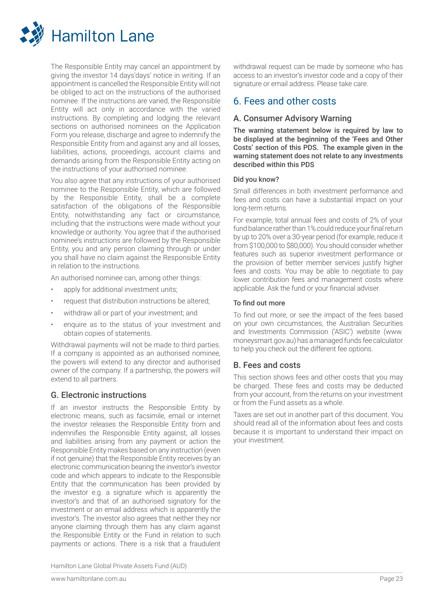

The Responsible Entity may cancel an appointment by giving the investor 14 days'days' notice in writing. If an appointment is cancelled the Responsible Entity will not be obliged to act on the instructions of the authorised nominee. If the instructions are varied, the Responsible Entity will act only in accordance with the varied instructions. By completing and lodging the relevant sections on authorised nominees on the Application Form you release, discharge and agree to indemnify the Responsible Entity from and against any and all losses, liabilities, actions, proceedings, account claims and demands arising from the Responsible Entity acting on the instructions of your authorised nominee.

You also agree that any instructions of your authorised nominee to the Responsible Entity, which are followed by the Responsible Entity, shall be a complete satisfaction of the obligations of the Responsible Entity, notwithstanding any fact or circumstance, including that the instructions were made without your knowledge or authority. You agree that if the authorised nominee's instructions are followed by the Responsible Entity, you and any person claiming through or under you shall have no claim against the Responsible Entity in relation to the instructions.

An authorised nominee can, among other things:

- apply for additional investment units;
- request that distribution instructions be altered;
- withdraw all or part of your investment; and
- enquire as to the status of your investment and obtain copies of statements.

Withdrawal payments will not be made to third parties. If a company is appointed as an authorised nominee, the powers will extend to any director and authorised owner of the company. If a partnership, the powers will extend to all partners.

## G. Electronic instructions

If an investor instructs the Responsible Entity by electronic means, such as facsimile, email or internet the investor releases the Responsible Entity from and indemnifies the Responsible Entity against, all losses and liabilities arising from any payment or action the Responsible Entity makes based on any instruction (even if not genuine) that the Responsible Entity receives by an electronic communication bearing the investor's investor code and which appears to indicate to the Responsible Entity that the communication has been provided by the investor e.g. a signature which is apparently the investor's and that of an authorised signatory for the investment or an email address which is apparently the investor's. The investor also agrees that neither they nor anyone claiming through them has any claim against the Responsible Entity or the Fund in relation to such payments or actions. There is a risk that a fraudulent

withdrawal request can be made by someone who has access to an investor's investor code and a copy of their signature or email address. Please take care.

## 6. Fees and other costs

## A. Consumer Advisory Warning

The warning statement below is required by law to be displayed at the beginning of the 'Fees and Other Costs' section of this PDS. The example given in the warning statement does not relate to any investments described within this PDS

#### Did you know?

Small differences in both investment performance and fees and costs can have a substantial impact on your long-term returns.

For example, total annual fees and costs of 2% of your fund balance rather than 1% could reduce your final return by up to 20% over a 30-year period (for example, reduce it from \$100,000 to \$80,000). You should consider whether features such as superior investment performance or the provision of better member services justify higher fees and costs. You may be able to negotiate to pay lower contribution fees and management costs where applicable. Ask the fund or your financial adviser.

#### To find out more

To find out more, or see the impact of the fees based on your own circumstances, the Australian Securities and Investments Commission ('ASIC') website (www. moneysmart.gov.au) has a managed funds fee calculator to help you check out the different fee options.

## B. Fees and costs

This section shows fees and other costs that you may be charged. These fees and costs may be deducted from your account, from the returns on your investment or from the Fund assets as a whole.

Taxes are set out in another part of this document. You should read all of the information about fees and costs because it is important to understand their impact on your investment.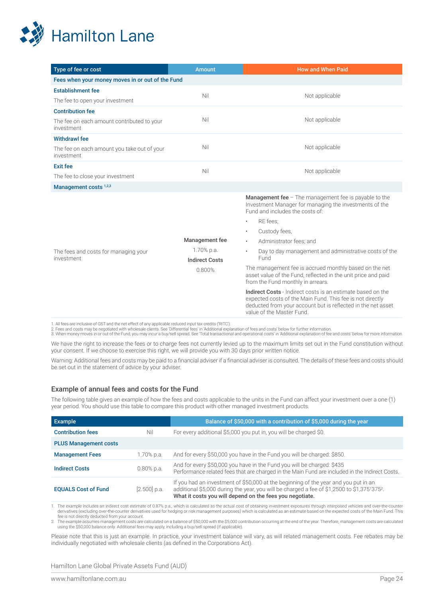

| Type of fee or cost                                       | Amount                                                          | <b>How and When Paid</b>                                                                                                                                                                                                                                                                                                                                                                                                                                                                                                                                        |
|-----------------------------------------------------------|-----------------------------------------------------------------|-----------------------------------------------------------------------------------------------------------------------------------------------------------------------------------------------------------------------------------------------------------------------------------------------------------------------------------------------------------------------------------------------------------------------------------------------------------------------------------------------------------------------------------------------------------------|
| Fees when your money moves in or out of the Fund          |                                                                 |                                                                                                                                                                                                                                                                                                                                                                                                                                                                                                                                                                 |
| <b>Establishment fee</b>                                  | Nil                                                             | Not applicable                                                                                                                                                                                                                                                                                                                                                                                                                                                                                                                                                  |
| The fee to open your investment                           |                                                                 |                                                                                                                                                                                                                                                                                                                                                                                                                                                                                                                                                                 |
| <b>Contribution fee</b>                                   |                                                                 |                                                                                                                                                                                                                                                                                                                                                                                                                                                                                                                                                                 |
| The fee on each amount contributed to your<br>investment  | Nil                                                             | Not applicable                                                                                                                                                                                                                                                                                                                                                                                                                                                                                                                                                  |
| <b>Withdrawl fee</b>                                      |                                                                 |                                                                                                                                                                                                                                                                                                                                                                                                                                                                                                                                                                 |
| The fee on each amount you take out of your<br>investment | Nil                                                             | Not applicable                                                                                                                                                                                                                                                                                                                                                                                                                                                                                                                                                  |
| <b>Exit fee</b>                                           | Nil                                                             |                                                                                                                                                                                                                                                                                                                                                                                                                                                                                                                                                                 |
| The fee to close your investment                          |                                                                 | Not applicable                                                                                                                                                                                                                                                                                                                                                                                                                                                                                                                                                  |
| Management costs <sup>1,2,3</sup>                         |                                                                 |                                                                                                                                                                                                                                                                                                                                                                                                                                                                                                                                                                 |
| The fees and costs for managing your<br>investment        | Management fee<br>1.70% p.a.<br><b>Indirect Costs</b><br>0.800% | <b>Management fee</b> $-$ The management fee is payable to the<br>Investment Manager for managing the investments of the<br>Fund and includes the costs of:<br>RE fees:<br>٠<br>Custody fees,<br>$\bullet$<br>Administrator fees; and<br>$\bullet$<br>Day to day management and administrative costs of the<br>$\bullet$<br>Fund<br>The management fee is accrued monthly based on the net<br>asset value of the Fund, reflected in the unit price and paid<br>from the Fund monthly in arrears.<br>Indirect Costs - Indirect costs is an estimate based on the |
|                                                           |                                                                 | expected costs of the Main Fund. This fee is not directly<br>deducted from your account but is reflected in the net asset<br>value of the Master Fund.                                                                                                                                                                                                                                                                                                                                                                                                          |

1. All fees are inclusive of GST and the net effect of any applicable reduced input tax credits ('RITC').<br>2. Fees and costs may be negotiated with wholesale clients. See 'Differential fees' in 'Additional explanation of fe

We have the right to increase the fees or to charge fees not currently levied up to the maximum limits set out in the Fund constitution without your consent. If we choose to exercise this right, we will provide you with 30 days prior written notice.

Warning: Additional fees and costs may be paid to a financial adviser if a financial adviser is consulted. The details of these fees and costs should be set out in the statement of advice by your adviser.

#### Example of annual fees and costs for the Fund

The following table gives an example of how the fees and costs applicable to the units in the Fund can affect your investment over a one (1) year period. You should use this table to compare this product with other managed investment products.

| Example                      |                | Balance of \$50,000 with a contribution of \$5,000 during the year                                                                                                                                                                                         |
|------------------------------|----------------|------------------------------------------------------------------------------------------------------------------------------------------------------------------------------------------------------------------------------------------------------------|
| <b>Contribution fees</b>     | Nil            | For every additional \$5,000 you put in, you will be charged \$0.                                                                                                                                                                                          |
| <b>PLUS Management costs</b> |                |                                                                                                                                                                                                                                                            |
| <b>Management Fees</b>       | 1.70% p.a.     | And for every \$50,000 you have in the Fund you will be charged: \$850.                                                                                                                                                                                    |
| <b>Indirect Costs</b>        | $0.80\%$ p.a.  | And for every \$50,000 you have in the Fund you will be charged: \$435<br>Performance related fees that are charged in the Main Fund are included in the Indirect Costs.                                                                                   |
| <b>EQUALS Cost of Fund</b>   | $[2.500]$ p.a. | If you had an investment of \$50,000 at the beginning of the year and you put in an<br>additional \$5,000 during the year, you will be charged a fee of \$1,2500 to \$1,375'375 <sup>2</sup> .<br>What it costs you will depend on the fees you negotiate. |

1. The example includes an indirect cost estimate of 0.87% p.a., which is calculated as the actual cost of obtaining investment exposures through interposed vehicles and over-the-counter<br>derivatives (excluding over-the-cou

2. The example assumes management costs are calculated on a balance of \$50,000 with the \$5,000 contribution occurring at the end of the year. Therefore, management costs are calculated<br>using the \$50,000 balance only. Addit

Please note that this is just an example. In practice, your investment balance will vary, as will related management costs. Fee rebates may be individually negotiated with wholesale clients (as defined in the Corporations Act).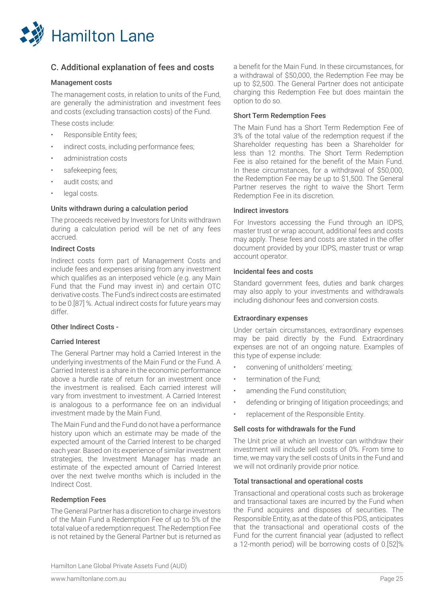

## C. Additional explanation of fees and costs

## Management costs

The management costs, in relation to units of the Fund, are generally the administration and investment fees and costs (excluding transaction costs) of the Fund.

These costs include:

- Responsible Entity fees;
- indirect costs, including performance fees;
- administration costs
- safekeeping fees;
- audit costs; and
- legal costs.

#### Units withdrawn during a calculation period

The proceeds received by Investors for Units withdrawn during a calculation period will be net of any fees accrued.

## Indirect Costs

Indirect costs form part of Management Costs and include fees and expenses arising from any investment which qualifies as an interposed vehicle (e.g. any Main Fund that the Fund may invest in) and certain OTC derivative costs. The Fund's indirect costs are estimated to be 0.[87] %. Actual indirect costs for future years may differ.

## Other Indirect Costs -

## Carried Interest

The General Partner may hold a Carried Interest in the underlying investments of the Main Fund or the Fund. A Carried Interest is a share in the economic performance above a hurdle rate of return for an investment once the investment is realised. Each carried interest will vary from investment to investment. A Carried Interest is analogous to a performance fee on an individual investment made by the Main Fund.

The Main Fund and the Fund do not have a performance history upon which an estimate may be made of the expected amount of the Carried Interest to be charged each year. Based on its experience of similar investment strategies, the Investment Manager has made an estimate of the expected amount of Carried Interest over the next twelve months which is included in the Indirect Cost.

#### Redemption Fees

The General Partner has a discretion to charge investors of the Main Fund a Redemption Fee of up to 5% of the total value of a redemption request. The Redemption Fee is not retained by the General Partner but is returned as a benefit for the Main Fund. In these circumstances, for a withdrawal of \$50,000, the Redemption Fee may be up to \$2,500. The General Partner does not anticipate charging this Redemption Fee but does maintain the option to do so.

## Short Term Redemption Fees

The Main Fund has a Short Term Redemption Fee of 3% of the total value of the redemption request if the Shareholder requesting has been a Shareholder for less than 12 months. The Short Term Redemption Fee is also retained for the benefit of the Main Fund. In these circumstances, for a withdrawal of \$50,000, the Redemption Fee may be up to \$1,500. The General Partner reserves the right to waive the Short Term Redemption Fee in its discretion.

#### Indirect investors

For Investors accessing the Fund through an IDPS, master trust or wrap account, additional fees and costs may apply. These fees and costs are stated in the offer document provided by your IDPS, master trust or wrap account operator.

#### Incidental fees and costs

Standard government fees, duties and bank charges may also apply to your investments and withdrawals including dishonour fees and conversion costs.

## Extraordinary expenses

Under certain circumstances, extraordinary expenses may be paid directly by the Fund. Extraordinary expenses are not of an ongoing nature. Examples of this type of expense include:

- convening of unitholders' meeting;
- termination of the Fund;
- amending the Fund constitution;
- defending or bringing of litigation proceedings; and
- replacement of the Responsible Entity.

## Sell costs for withdrawals for the Fund

The Unit price at which an Investor can withdraw their investment will include sell costs of 0%. From time to time, we may vary the sell costs of Units in the Fund and we will not ordinarily provide prior notice.

#### Total transactional and operational costs

Transactional and operational costs such as brokerage and transactional taxes are incurred by the Fund when the Fund acquires and disposes of securities. The Responsible Entity, as at the date of this PDS, anticipates that the transactional and operational costs of the Fund for the current financial year (adjusted to reflect a 12-month period) will be borrowing costs of 0.[52]%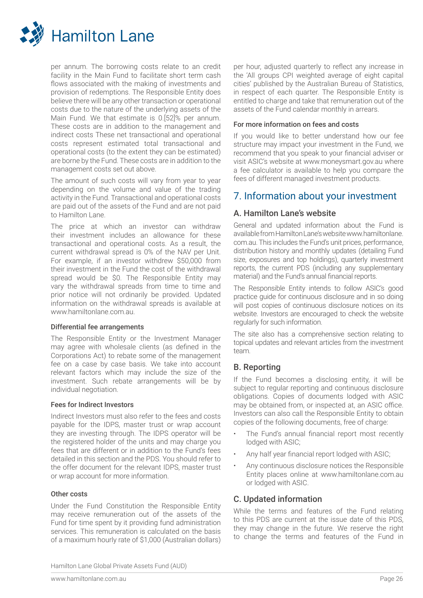

per annum. The borrowing costs relate to an credit facility in the Main Fund to facilitate short term cash flows associated with the making of investments and provision of redemptions. The Responsible Entity does believe there will be any other transaction or operational costs due to the nature of the underlying assets of the Main Fund. We that estimate is 0.[52]% per annum. These costs are in addition to the management and indirect costs These net transactional and operational costs represent estimated total transactional and operational costs (to the extent they can be estimated) are borne by the Fund. These costs are in addition to the management costs set out above.

The amount of such costs will vary from year to year depending on the volume and value of the trading activity in the Fund. Transactional and operational costs are paid out of the assets of the Fund and are not paid to Hamilton Lane.

The price at which an investor can withdraw their investment includes an allowance for these transactional and operational costs. As a result, the current withdrawal spread is 0% of the NAV per Unit. For example, if an investor withdrew \$50,000 from their investment in the Fund the cost of the withdrawal spread would be \$0. The Responsible Entity may vary the withdrawal spreads from time to time and prior notice will not ordinarily be provided. Updated information on the withdrawal spreads is available at www.hamiltonlane.com.au.

#### Differential fee arrangements

The Responsible Entity or the Investment Manager may agree with wholesale clients (as defined in the Corporations Act) to rebate some of the management fee on a case by case basis. We take into account relevant factors which may include the size of the investment. Such rebate arrangements will be by individual negotiation.

#### Fees for Indirect Investors

Indirect Investors must also refer to the fees and costs payable for the IDPS, master trust or wrap account they are investing through. The IDPS operator will be the registered holder of the units and may charge you fees that are different or in addition to the Fund's fees detailed in this section and the PDS. You should refer to the offer document for the relevant IDPS, master trust or wrap account for more information.

#### Other costs

Under the Fund Constitution the Responsible Entity may receive remuneration out of the assets of the Fund for time spent by it providing fund administration services. This remuneration is calculated on the basis of a maximum hourly rate of \$1,000 (Australian dollars)

per hour, adjusted quarterly to reflect any increase in the 'All groups CPI weighted average of eight capital cities' published by the Australian Bureau of Statistics, in respect of each quarter. The Responsible Entity is entitled to charge and take that remuneration out of the assets of the Fund calendar monthly in arrears.

#### For more information on fees and costs

If you would like to better understand how our fee structure may impact your investment in the Fund, we recommend that you speak to your financial adviser or visit ASIC's website at www.moneysmart.gov.au where a fee calculator is available to help you compare the fees of different managed investment products.

## 7. Information about your investment

## A. Hamilton Lane's website

General and updated information about the Fund is available from Hamilton Lane's website www.hamiltonlane. com.au. This includes the Fund's unit prices, performance, distribution history and monthly updates (detailing Fund size, exposures and top holdings), quarterly investment reports, the current PDS (including any supplementary material) and the Fund's annual financial reports.

The Responsible Entity intends to follow ASIC's good practice guide for continuous disclosure and in so doing will post copies of continuous disclosure notices on its website. Investors are encouraged to check the website regularly for such information.

The site also has a comprehensive section relating to topical updates and relevant articles from the investment team.

## B. Reporting

If the Fund becomes a disclosing entity, it will be subject to regular reporting and continuous disclosure obligations. Copies of documents lodged with ASIC may be obtained from, or inspected at, an ASIC office. Investors can also call the Responsible Entity to obtain copies of the following documents, free of charge:

- The Fund's annual financial report most recently lodged with ASIC;
- Any half year financial report lodged with ASIC;
- Any continuous disclosure notices the Responsible Entity places online at www.hamiltonlane.com.au or lodged with ASIC.

## C. Updated information

While the terms and features of the Fund relating to this PDS are current at the issue date of this PDS, they may change in the future. We reserve the right to change the terms and features of the Fund in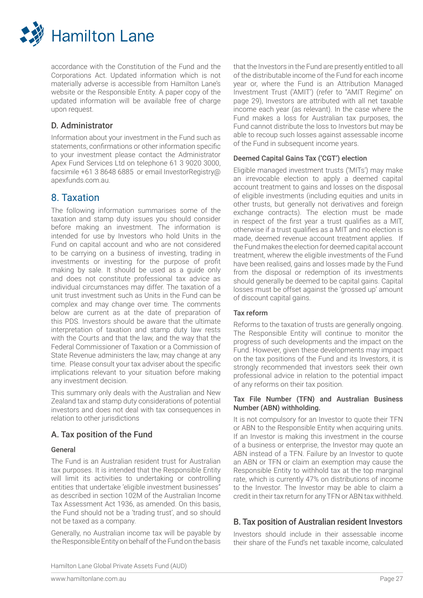

accordance with the Constitution of the Fund and the Corporations Act. Updated information which is not materially adverse is accessible from Hamilton Lane's website or the Responsible Entity. A paper copy of the updated information will be available free of charge upon request.

## D. Administrator

Information about your investment in the Fund such as statements, confirmations or other information specific to your investment please contact the Administrator Apex Fund Services Ltd on telephone 61 3 9020 3000, facsimile +61 3 8648 6885 or email InvestorRegistry@ apexfunds.com.au.

## 8. Taxation

The following information summarises some of the taxation and stamp duty issues you should consider before making an investment. The information is intended for use by Investors who hold Units in the Fund on capital account and who are not considered to be carrying on a business of investing, trading in investments or investing for the purpose of profit making by sale. It should be used as a guide only and does not constitute professional tax advice as individual circumstances may differ. The taxation of a unit trust investment such as Units in the Fund can be complex and may change over time. The comments below are current as at the date of preparation of this PDS. Investors should be aware that the ultimate interpretation of taxation and stamp duty law rests with the Courts and that the law, and the way that the Federal Commissioner of Taxation or a Commission of State Revenue administers the law, may change at any time. Please consult your tax adviser about the specific implications relevant to your situation before making any investment decision.

This summary only deals with the Australian and New Zealand tax and stamp duty considerations of potential investors and does not deal with tax consequences in relation to other jurisdictions

## A. Tax position of the Fund

## General

The Fund is an Australian resident trust for Australian tax purposes. It is intended that the Responsible Entity will limit its activities to undertaking or controlling entities that undertake 'eligible investment businesses" as described in section 102M of the Australian Income Tax Assessment Act 1936, as amended. On this basis, the Fund should not be a 'trading trust', and so should not be taxed as a company.

Generally, no Australian income tax will be payable by the Responsible Entity on behalf of the Fund on the basis that the Investors in the Fund are presently entitled to all of the distributable income of the Fund for each income year or, where the Fund is an Attribution Managed Investment Trust ('AMIT') (refer to "AMIT Regime" on page 29), Investors are attributed with all net taxable income each year (as relevant). In the case where the Fund makes a loss for Australian tax purposes, the Fund cannot distribute the loss to Investors but may be able to recoup such losses against assessable income of the Fund in subsequent income years.

## Deemed Capital Gains Tax ('CGT') election

Eligible managed investment trusts ('MITs') may make an irrevocable election to apply a deemed capital account treatment to gains and losses on the disposal of eligible investments (including equities and units in other trusts, but generally not derivatives and foreign exchange contracts). The election must be made in respect of the first year a trust qualifies as a MIT, otherwise if a trust qualifies as a MIT and no election is made, deemed revenue account treatment applies. If the Fund makes the election for deemed capital account treatment, wherew the eligible investments of the Fund have been realised, gains and losses made by the Fund from the disposal or redemption of its investments should generally be deemed to be capital gains. Capital losses must be offset against the 'grossed up' amount of discount capital gains.

## Tax reform

Reforms to the taxation of trusts are generally ongoing. The Responsible Entity will continue to monitor the progress of such developments and the impact on the Fund. However, given these developments may impact on the tax positions of the Fund and its Investors, it is strongly recommended that investors seek their own professional advice in relation to the potential impact of any reforms on their tax position.

#### Tax File Number (TFN) and Australian Business Number (ABN) withholding.

It is not compulsory for an Investor to quote their TFN or ABN to the Responsible Entity when acquiring units. If an Investor is making this investment in the course of a business or enterprise, the Investor may quote an ABN instead of a TFN. Failure by an Investor to quote an ABN or TFN or claim an exemption may cause the Responsible Entity to withhold tax at the top marginal rate, which is currently 47% on distributions of income to the Investor. The Investor may be able to claim a credit in their tax return for any TFN or ABN tax withheld.

## B. Tax position of Australian resident Investors

Investors should include in their assessable income their share of the Fund's net taxable income, calculated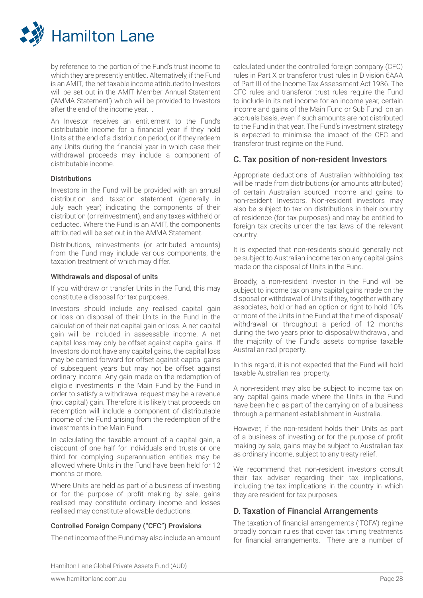

by reference to the portion of the Fund's trust income to which they are presently entitled. Alternatively, if the Fund is an AMIT, the net taxable income attributed to Investors will be set out in the AMIT Member Annual Statement ('AMMA Statement') which will be provided to Investors after the end of the income year. .

An Investor receives an entitlement to the Fund's distributable income for a financial year if they hold Units at the end of a distribution period, or if they redeem any Units during the financial year in which case their withdrawal proceeds may include a component of distributable income.

#### **Distributions**

Investors in the Fund will be provided with an annual distribution and taxation statement (generally in July each year) indicating the components of their distribution (or reinvestment), and any taxes withheld or deducted. Where the Fund is an AMIT, the components attributed will be set out in the AMMA Statement.

Distributions, reinvestments (or attributed amounts) from the Fund may include various components, the taxation treatment of which may differ.

## Withdrawals and disposal of units

If you withdraw or transfer Units in the Fund, this may constitute a disposal for tax purposes.

Investors should include any realised capital gain or loss on disposal of their Units in the Fund in the calculation of their net capital gain or loss. A net capital gain will be included in assessable income. A net capital loss may only be offset against capital gains. If Investors do not have any capital gains, the capital loss may be carried forward for offset against capital gains of subsequent years but may not be offset against ordinary income. Any gain made on the redemption of eligible investments in the Main Fund by the Fund in order to satisfy a withdrawal request may be a revenue (not capital) gain. Therefore it is likely that proceeds on redemption will include a component of distributable income of the Fund arising from the redemption of the investments in the Main Fund.

In calculating the taxable amount of a capital gain, a discount of one half for individuals and trusts or one third for complying superannuation entities may be allowed where Units in the Fund have been held for 12 months or more.

Where Units are held as part of a business of investing or for the purpose of profit making by sale, gains realised may constitute ordinary income and losses realised may constitute allowable deductions.

## Controlled Foreign Company ("CFC") Provisions

The net income of the Fund may also include an amount

calculated under the controlled foreign company (CFC) rules in Part X or transferor trust rules in Division 6AAA of Part III of the Income Tax Assessment Act 1936. The CFC rules and transferor trust rules require the Fund to include in its net income for an income year, certain income and gains of the Main Fund or Sub Fund on an accruals basis, even if such amounts are not distributed to the Fund in that year. The Fund's investment strategy is expected to minimise the impact of the CFC and transferor trust regime on the Fund.

## C. Tax position of non-resident Investors

Appropriate deductions of Australian withholding tax will be made from distributions (or amounts attributed) of certain Australian sourced income and gains to non-resident Investors. Non-resident investors may also be subject to tax on distributions in their country of residence (for tax purposes) and may be entitled to foreign tax credits under the tax laws of the relevant country.

It is expected that non-residents should generally not be subject to Australian income tax on any capital gains made on the disposal of Units in the Fund.

Broadly, a non-resident Investor in the Fund will be subject to income tax on any capital gains made on the disposal or withdrawal of Units if they, together with any associates, hold or had an option or right to hold 10% or more of the Units in the Fund at the time of disposal/ withdrawal or throughout a period of 12 months during the two years prior to disposal/withdrawal, and the majority of the Fund's assets comprise taxable Australian real property.

In this regard, it is not expected that the Fund will hold taxable Australian real property.

A non-resident may also be subject to income tax on any capital gains made where the Units in the Fund have been held as part of the carrying on of a business through a permanent establishment in Australia.

However, if the non-resident holds their Units as part of a business of investing or for the purpose of profit making by sale, gains may be subject to Australian tax as ordinary income, subject to any treaty relief.

We recommend that non-resident investors consult their tax adviser regarding their tax implications, including the tax implications in the country in which they are resident for tax purposes.

## D. Taxation of Financial Arrangements

The taxation of financial arrangements ('TOFA') regime broadly contain rules that cover tax timing treatments for financial arrangements. There are a number of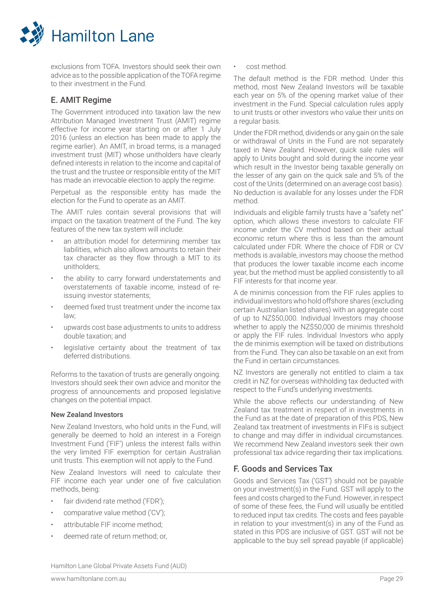

exclusions from TOFA. Investors should seek their own advice as to the possible application of the TOFA regime to their investment in the Fund.

## E. AMIT Regime

The Government introduced into taxation law the new Attribution Managed Investment Trust (AMIT) regime effective for income year starting on or after 1 July 2016 (unless an election has been made to apply the regime earlier). An AMIT, in broad terms, is a managed investment trust (MIT) whose unitholders have clearly defined interests in relation to the income and capital of the trust and the trustee or responsible entity of the MIT has made an irrevocable election to apply the regime.

Perpetual as the responsible entity has made the election for the Fund to operate as an AMIT.

The AMIT rules contain several provisions that will impact on the taxation treatment of the Fund. The key features of the new tax system will include:

- an attribution model for determining member tax liabilities, which also allows amounts to retain their tax character as they flow through a MIT to its unitholders;
- the ability to carry forward understatements and overstatements of taxable income, instead of reissuing investor statements;
- deemed fixed trust treatment under the income tax law;
- upwards cost base adjustments to units to address double taxation; and
- legislative certainty about the treatment of tax deferred distributions.

Reforms to the taxation of trusts are generally ongoing. Investors should seek their own advice and monitor the progress of announcements and proposed legislative changes on the potential impact.

## New Zealand Investors

New Zealand Investors, who hold units in the Fund, will generally be deemed to hold an interest in a Foreign Investment Fund ('FIF') unless the interest falls within the very limited FIF exemption for certain Australian unit trusts. This exemption will not apply to the Fund.

New Zealand Investors will need to calculate their FIF income each year under one of five calculation methods, being:

- fair dividend rate method ('FDR');
- comparative value method ('CV');
- attributable FIF income method;
- deemed rate of return method; or,

• cost method.

The default method is the FDR method. Under this method, most New Zealand Investors will be taxable each year on 5% of the opening market value of their investment in the Fund. Special calculation rules apply to unit trusts or other investors who value their units on a regular basis.

Under the FDR method, dividends or any gain on the sale or withdrawal of Units in the Fund are not separately taxed in New Zealand. However, quick sale rules will apply to Units bought and sold during the income year which result in the Investor being taxable generally on the lesser of any gain on the quick sale and 5% of the cost of the Units (determined on an average cost basis). No deduction is available for any losses under the FDR method.

Individuals and eligible family trusts have a "safety net" option, which allows these investors to calculate FIF income under the CV method based on their actual economic return where this is less than the amount calculated under FDR. Where the choice of FDR or CV methods is available, investors may choose the method that produces the lower taxable income each income year, but the method must be applied consistently to all FIF interests for that income year.

A de minimis concession from the FIF rules applies to individual investors who hold offshore shares (excluding certain Australian listed shares) with an aggregate cost of up to NZ\$50,000. Individual Investors may choose whether to apply the NZ\$50,000 de minimis threshold or apply the FIF rules. Individual Investors who apply the de minimis exemption will be taxed on distributions from the Fund. They can also be taxable on an exit from the Fund in certain circumstances.

NZ Investors are generally not entitled to claim a tax credit in NZ for overseas withholding tax deducted with respect to the Fund's underlying investments.

While the above reflects our understanding of New Zealand tax treatment in respect of in investments in the Fund as at the date of preparation of this PDS, New Zealand tax treatment of investments in FIFs is subject to change and may differ in individual circumstances. We recommend New Zealand investors seek their own professional tax advice regarding their tax implications.

## F. Goods and Services Tax

Goods and Services Tax ('GST') should not be payable on your investment(s) in the Fund. GST will apply to the fees and costs charged to the Fund. However, in respect of some of these fees, the Fund will usually be entitled to reduced input tax credits. The costs and fees payable in relation to your investment(s) in any of the Fund as stated in this PDS are inclusive of GST. GST will not be applicable to the buy sell spread payable (if applicable)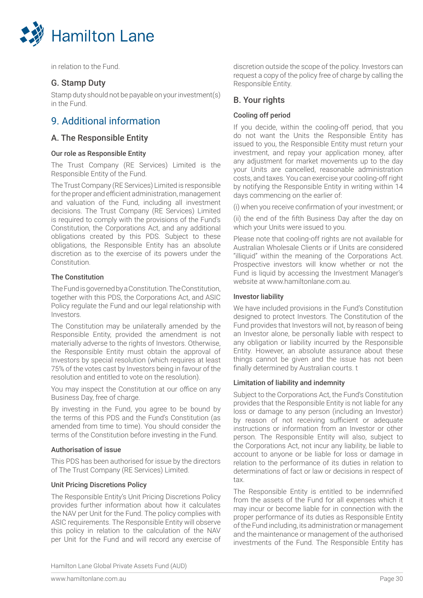

in relation to the Fund.

## G. Stamp Duty

Stamp duty should not be payable on your investment(s) in the Fund.

## 9. Additional information

## A. The Responsible Entity

## Our role as Responsible Entity

The Trust Company (RE Services) Limited is the Responsible Entity of the Fund.

The Trust Company (RE Services) Limited is responsible for the proper and efficient administration, management and valuation of the Fund, including all investment decisions. The Trust Company (RE Services) Limited is required to comply with the provisions of the Fund's Constitution, the Corporations Act, and any additional obligations created by this PDS. Subject to these obligations, the Responsible Entity has an absolute discretion as to the exercise of its powers under the Constitution.

## The Constitution

The Fund is governed by a Constitution. The Constitution, together with this PDS, the Corporations Act, and ASIC Policy regulate the Fund and our legal relationship with Investors.

The Constitution may be unilaterally amended by the Responsible Entity, provided the amendment is not materially adverse to the rights of Investors. Otherwise, the Responsible Entity must obtain the approval of Investors by special resolution (which requires at least 75% of the votes cast by Investors being in favour of the resolution and entitled to vote on the resolution).

You may inspect the Constitution at our office on any Business Day, free of charge.

By investing in the Fund, you agree to be bound by the terms of this PDS and the Fund's Constitution (as amended from time to time). You should consider the terms of the Constitution before investing in the Fund.

## Authorisation of issue

This PDS has been authorised for issue by the directors of The Trust Company (RE Services) Limited.

## Unit Pricing Discretions Policy

The Responsible Entity's Unit Pricing Discretions Policy provides further information about how it calculates the NAV per Unit for the Fund. The policy complies with ASIC requirements. The Responsible Entity will observe this policy in relation to the calculation of the NAV per Unit for the Fund and will record any exercise of discretion outside the scope of the policy. Investors can request a copy of the policy free of charge by calling the Responsible Entity.

## B. Your rights

## Cooling off period

If you decide, within the cooling-off period, that you do not want the Units the Responsible Entity has issued to you, the Responsible Entity must return your investment, and repay your application money, after any adjustment for market movements up to the day your Units are cancelled, reasonable administration costs, and taxes. You can exercise your cooling-off right by notifying the Responsible Entity in writing within 14 days commencing on the earlier of:

(i) when you receive confirmation of your investment; or

(ii) the end of the fifth Business Day after the day on which your Units were issued to you.

Please note that cooling-off rights are not available for Australian Wholesale Clients or if Units are considered "illiquid" within the meaning of the Corporations Act. Prospective investors will know whether or not the Fund is liquid by accessing the Investment Manager's website at www.hamiltonlane.com.au.

## Investor liability

We have included provisions in the Fund's Constitution designed to protect Investors. The Constitution of the Fund provides that Investors will not, by reason of being an Investor alone, be personally liable with respect to any obligation or liability incurred by the Responsible Entity. However, an absolute assurance about these things cannot be given and the issue has not been finally determined by Australian courts. t

## Limitation of liability and indemnity

Subject to the Corporations Act, the Fund's Constitution provides that the Responsible Entity is not liable for any loss or damage to any person (including an Investor) by reason of not receiving sufficient or adequate instructions or information from an Investor or other person. The Responsible Entity will also, subject to the Corporations Act, not incur any liability, be liable to account to anyone or be liable for loss or damage in relation to the performance of its duties in relation to determinations of fact or law or decisions in respect of tax.

The Responsible Entity is entitled to be indemnified from the assets of the Fund for all expenses which it may incur or become liable for in connection with the proper performance of its duties as Responsible Entity of the Fund including, its administration or management and the maintenance or management of the authorised investments of the Fund. The Responsible Entity has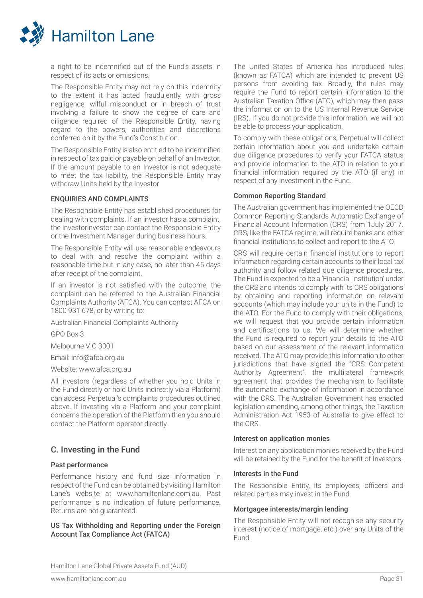

a right to be indemnified out of the Fund's assets in respect of its acts or omissions.

The Responsible Entity may not rely on this indemnity to the extent it has acted fraudulently, with gross negligence, wilful misconduct or in breach of trust involving a failure to show the degree of care and diligence required of the Responsible Entity, having regard to the powers, authorities and discretions conferred on it by the Fund's Constitution.

The Responsible Entity is also entitled to be indemnified in respect of tax paid or payable on behalf of an Investor. If the amount payable to an Investor is not adequate to meet the tax liability, the Responsible Entity may withdraw Units held by the Investor

#### ENQUIRIES AND COMPLAINTS

The Responsible Entity has established procedures for dealing with complaints. If an investor has a complaint, the investorinvestor can contact the Responsible Entity or the Investment Manager during business hours.

The Responsible Entity will use reasonable endeavours to deal with and resolve the complaint within a reasonable time but in any case, no later than 45 days after receipt of the complaint.

If an investor is not satisfied with the outcome, the complaint can be referred to the Australian Financial Complaints Authority (AFCA). You can contact AFCA on 1800 931 678, or by writing to:

Australian Financial Complaints Authority

GPO Box 3

Melbourne VIC 3001

Email: info@afca.org.au

Website: www.afca.org.au

All investors (regardless of whether you hold Units in the Fund directly or hold Units indirectly via a Platform) can access Perpetual's complaints procedures outlined above. If investing via a Platform and your complaint concerns the operation of the Platform then you should contact the Platform operator directly.

## C. Investing in the Fund

#### Past performance

Performance history and fund size information in respect of the Fund can be obtained by visiting Hamilton Lane's website at www.hamiltonlane.com.au. Past performance is no indication of future performance. Returns are not guaranteed.

#### US Tax Withholding and Reporting under the Foreign Account Tax Compliance Act (FATCA)

The United States of America has introduced rules (known as FATCA) which are intended to prevent US persons from avoiding tax. Broadly, the rules may require the Fund to report certain information to the Australian Taxation Office (ATO), which may then pass the information on to the US Internal Revenue Service (IRS). If you do not provide this information, we will not be able to process your application.

To comply with these obligations, Perpetual will collect certain information about you and undertake certain due diligence procedures to verify your FATCA status and provide information to the ATO in relation to your financial information required by the ATO (if any) in respect of any investment in the Fund.

#### Common Reporting Standard

The Australian government has implemented the OECD Common Reporting Standards Automatic Exchange of Financial Account Information (CRS) from 1July 2017. CRS, like the FATCA regime, will require banks and other financial institutions to collect and report to the ATO.

CRS will require certain financial institutions to report information regarding certain accounts to their local tax authority and follow related due diligence procedures. The Fund is expected to be a 'Financial Institution' under the CRS and intends to comply with its CRS obligations by obtaining and reporting information on relevant accounts (which may include your units in the Fund) to the ATO. For the Fund to comply with their obligations, we will request that you provide certain information and certifications to us. We will determine whether the Fund is required to report your details to the ATO based on our assessment of the relevant information received. The ATO may provide this information to other jurisdictions that have signed the "CRS Competent Authority Agreement", the multilateral framework agreement that provides the mechanism to facilitate the automatic exchange of information in accordance with the CRS. The Australian Government has enacted legislation amending, among other things, the Taxation Administration Act 1953 of Australia to give effect to the CRS.

#### Interest on application monies

Interest on any application monies received by the Fund will be retained by the Fund for the benefit of Investors.

#### Interests in the Fund

The Responsible Entity, its employees, officers and related parties may invest in the Fund.

#### Mortgagee interests/margin lending

The Responsible Entity will not recognise any security interest (notice of mortgage, etc.) over any Units of the Fund.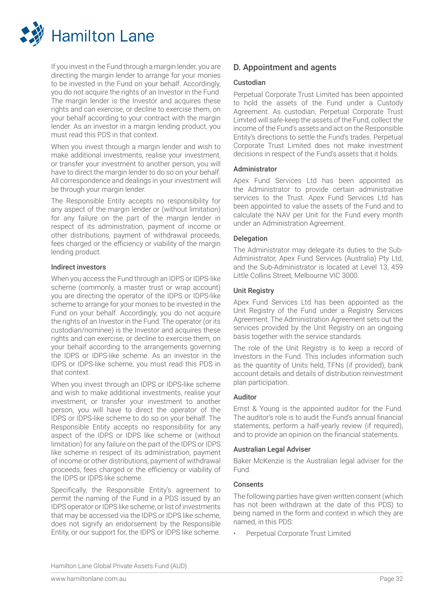

If you invest in the Fund through a margin lender, you are directing the margin lender to arrange for your monies to be invested in the Fund on your behalf. Accordingly, you do not acquire the rights of an Investor in the Fund. The margin lender is the Investor and acquires these rights and can exercise, or decline to exercise them, on your behalf according to your contract with the margin lender. As an investor in a margin lending product, you must read this PDS in that context.

When you invest through a margin lender and wish to make additional investments, realise your investment, or transfer your investment to another person, you will have to direct the margin lender to do so on your behalf. All correspondence and dealings in your investment will be through your margin lender.

The Responsible Entity accepts no responsibility for any aspect of the margin lender or (without limitation) for any failure on the part of the margin lender in respect of its administration, payment of income or other distributions, payment of withdrawal proceeds, fees charged or the efficiency or viability of the margin lending product.

#### Indirect investors

When you access the Fund through an IDPS or IDPS-like scheme (commonly, a master trust or wrap account) you are directing the operator of the IDPS or IDPS-like scheme to arrange for your monies to be invested in the Fund on your behalf. Accordingly, you do not acquire the rights of an Investor in the Fund. The operator (or its custodian/nominee) is the Investor and acquires these rights and can exercise, or decline to exercise them, on your behalf according to the arrangements governing the IDPS or IDPS-like scheme. As an investor in the IDPS or IDPS-like scheme, you must read this PDS in that context.

When you invest through an IDPS or IDPS-like scheme and wish to make additional investments, realise your investment, or transfer your investment to another person, you will have to direct the operator of the IDPS or IDPS-like scheme to do so on your behalf. The Responsible Entity accepts no responsibility for any aspect of the IDPS or IDPS like scheme or (without limitation) for any failure on the part of the IDPS or IDPS like scheme in respect of its administration, payment of income or other distributions, payment of withdrawal proceeds, fees charged or the efficiency or viability of the IDPS or IDPS like scheme.

Specifically, the Responsible Entity's agreement to permit the naming of the Fund in a PDS issued by an IDPS operator or IDPS like scheme, or list of investments that may be accessed via the IDPS or IDPS like scheme, does not signify an endorsement by the Responsible Entity, or our support for, the IDPS or IDPS like scheme.

## D. Appointment and agents

#### Custodian

Perpetual Corporate Trust Limited has been appointed to hold the assets of the Fund under a Custody Agreement. As custodian, Perpetual Corporate Trust Limited will safe-keep the assets of the Fund, collect the income of the Fund's assets and act on the Responsible Entity's directions to settle the Fund's trades. Perpetual Corporate Trust Limited does not make investment decisions in respect of the Fund's assets that it holds.

#### Administrator

Apex Fund Services Ltd has been appointed as the Administrator to provide certain administrative services to the Trust. Apex Fund Services Ltd has been appointed to value the assets of the Fund and to calculate the NAV per Unit for the Fund every month under an Administration Agreement.

#### Delegation

The Administrator may delegate its duties to the Sub-Administrator, Apex Fund Services (Australia) Pty Ltd, and the Sub-Administrator is located at Level 13, 459 Little Collins Street, Melbourne VIC 3000.

## Unit Registry

Apex Fund Services Ltd has been appointed as the Unit Registry of the Fund under a Registry Services Agreement. The Administration Agreement sets out the services provided by the Unit Registry on an ongoing basis together with the service standards.

The role of the Unit Registry is to keep a record of Investors in the Fund. This includes information such as the quantity of Units held, TFNs (if provided), bank account details and details of distribution reinvestment plan participation.

## Auditor

Ernst & Young is the appointed auditor for the Fund. The auditor's role is to audit the Fund's annual financial statements, perform a half-yearly review (if required), and to provide an opinion on the financial statements.

#### Australian Legal Adviser

Baker McKenzie is the Australian legal adviser for the Fund.

## Consents

The following parties have given written consent (which has not been withdrawn at the date of this PDS) to being named in the form and context in which they are named, in this PDS:

• Perpetual Corporate Trust Limited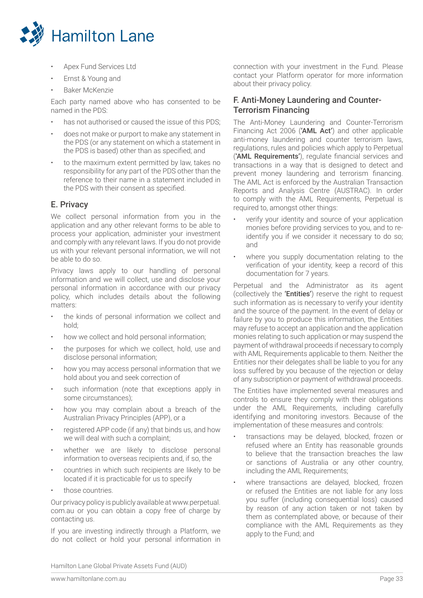

- Apex Fund Services Ltd
- Ernst & Young and
- Baker McKenzie

Each party named above who has consented to be named in the PDS:

- has not authorised or caused the issue of this PDS:
- does not make or purport to make any statement in the PDS (or any statement on which a statement in the PDS is based) other than as specified; and
- to the maximum extent permitted by law, takes no responsibility for any part of the PDS other than the reference to their name in a statement included in the PDS with their consent as specified.

## E. Privacy

We collect personal information from you in the application and any other relevant forms to be able to process your application, administer your investment and comply with any relevant laws. If you do not provide us with your relevant personal information, we will not be able to do so.

Privacy laws apply to our handling of personal information and we will collect, use and disclose your personal information in accordance with our privacy policy, which includes details about the following matters:

- the kinds of personal information we collect and hold;
- how we collect and hold personal information;
- the purposes for which we collect, hold, use and disclose personal information;
- how you may access personal information that we hold about you and seek correction of
- such information (note that exceptions apply in some circumstances);
- how you may complain about a breach of the Australian Privacy Principles (APP), or a
- registered APP code (if any) that binds us, and how we will deal with such a complaint;
- whether we are likely to disclose personal information to overseas recipients and, if so, the
- countries in which such recipients are likely to be located if it is practicable for us to specify
- those countries.

Our privacy policy is publicly available at www.perpetual. com.au or you can obtain a copy free of charge by contacting us.

If you are investing indirectly through a Platform, we do not collect or hold your personal information in connection with your investment in the Fund. Please contact your Platform operator for more information about their privacy policy.

## F. Anti-Money Laundering and Counter-Terrorism Financing

The Anti-Money Laundering and Counter-Terrorism Financing Act 2006 ('AML Act') and other applicable anti-money laundering and counter terrorism laws, regulations, rules and policies which apply to Perpetual ('AML Requirements'), regulate financial services and transactions in a way that is designed to detect and prevent money laundering and terrorism financing. The AML Act is enforced by the Australian Transaction Reports and Analysis Centre (AUSTRAC). In order to comply with the AML Requirements, Perpetual is required to, amongst other things:

- verify your identity and source of your application monies before providing services to you, and to reidentify you if we consider it necessary to do so; and
- where you supply documentation relating to the verification of your identity, keep a record of this documentation for 7 years.

Perpetual and the Administrator as its agent (collectively the 'Entities') reserve the right to request such information as is necessary to verify your identity and the source of the payment. In the event of delay or failure by you to produce this information, the Entities may refuse to accept an application and the application monies relating to such application or may suspend the payment of withdrawal proceeds if necessary to comply with AML Requirements applicable to them. Neither the Entities nor their delegates shall be liable to you for any loss suffered by you because of the rejection or delay of any subscription or payment of withdrawal proceeds.

The Entities have implemented several measures and controls to ensure they comply with their obligations under the AML Requirements, including carefully identifying and monitoring investors. Because of the implementation of these measures and controls:

- transactions may be delayed, blocked, frozen or refused where an Entity has reasonable grounds to believe that the transaction breaches the law or sanctions of Australia or any other country, including the AML Requirements;
- where transactions are delayed, blocked, frozen or refused the Entities are not liable for any loss you suffer (including consequential loss) caused by reason of any action taken or not taken by them as contemplated above, or because of their compliance with the AML Requirements as they apply to the Fund; and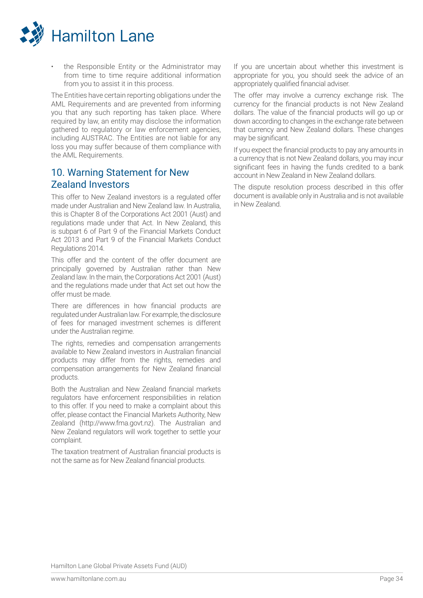

the Responsible Entity or the Administrator may from time to time require additional information from you to assist it in this process.

The Entities have certain reporting obligations under the AML Requirements and are prevented from informing you that any such reporting has taken place. Where required by law, an entity may disclose the information gathered to regulatory or law enforcement agencies, including AUSTRAC. The Entities are not liable for any loss you may suffer because of them compliance with the AML Requirements.

## 10. Warning Statement for New Zealand Investors

This offer to New Zealand investors is a regulated offer made under Australian and New Zealand law. In Australia, this is Chapter 8 of the Corporations Act 2001 (Aust) and regulations made under that Act. In New Zealand, this is subpart 6 of Part 9 of the Financial Markets Conduct Act 2013 and Part 9 of the Financial Markets Conduct Regulations 2014.

This offer and the content of the offer document are principally governed by Australian rather than New Zealand law. In the main, the Corporations Act 2001 (Aust) and the regulations made under that Act set out how the offer must be made.

There are differences in how financial products are regulated under Australian law. For example, the disclosure of fees for managed investment schemes is different under the Australian regime.

The rights, remedies and compensation arrangements available to New Zealand investors in Australian financial products may differ from the rights, remedies and compensation arrangements for New Zealand financial products.

Both the Australian and New Zealand financial markets regulators have enforcement responsibilities in relation to this offer. If you need to make a complaint about this offer, please contact the Financial Markets Authority, New Zealand (http://www.fma.govt.nz). The Australian and New Zealand regulators will work together to settle your complaint.

The taxation treatment of Australian financial products is not the same as for New Zealand financial products.

If you are uncertain about whether this investment is appropriate for you, you should seek the advice of an appropriately qualified financial adviser.

The offer may involve a currency exchange risk. The currency for the financial products is not New Zealand dollars. The value of the financial products will go up or down according to changes in the exchange rate between that currency and New Zealand dollars. These changes may be significant.

If you expect the financial products to pay any amounts in a currency that is not New Zealand dollars, you may incur significant fees in having the funds credited to a bank account in New Zealand in New Zealand dollars.

The dispute resolution process described in this offer document is available only in Australia and is not available in New Zealand.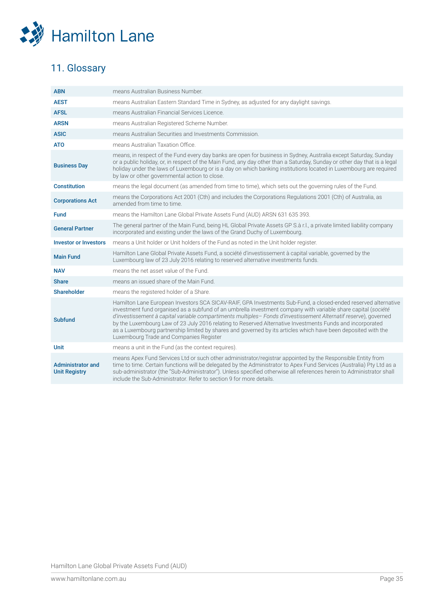

## 11. Glossary

| <b>ABN</b>                                       | means Australian Business Number.                                                                                                                                                                                                                                                                                                                                                                                                                                                                                                                                                                                             |
|--------------------------------------------------|-------------------------------------------------------------------------------------------------------------------------------------------------------------------------------------------------------------------------------------------------------------------------------------------------------------------------------------------------------------------------------------------------------------------------------------------------------------------------------------------------------------------------------------------------------------------------------------------------------------------------------|
| <b>AEST</b>                                      | means Australian Eastern Standard Time in Sydney, as adjusted for any daylight savings.                                                                                                                                                                                                                                                                                                                                                                                                                                                                                                                                       |
| <b>AFSL</b>                                      | means Australian Financial Services Licence.                                                                                                                                                                                                                                                                                                                                                                                                                                                                                                                                                                                  |
| <b>ARSN</b>                                      | means Australian Registered Scheme Number.                                                                                                                                                                                                                                                                                                                                                                                                                                                                                                                                                                                    |
| <b>ASIC</b>                                      | means Australian Securities and Investments Commission.                                                                                                                                                                                                                                                                                                                                                                                                                                                                                                                                                                       |
| <b>ATO</b>                                       | means Australian Taxation Office.                                                                                                                                                                                                                                                                                                                                                                                                                                                                                                                                                                                             |
| <b>Business Day</b>                              | means, in respect of the Fund every day banks are open for business in Sydney, Australia except Saturday, Sunday<br>or a public holiday, or, in respect of the Main Fund, any day other than a Saturday, Sunday or other day that is a legal<br>holiday under the laws of Luxembourg or is a day on which banking institutions located in Luxembourg are required<br>by law or other governmental action to close.                                                                                                                                                                                                            |
| <b>Constitution</b>                              | means the legal document (as amended from time to time), which sets out the governing rules of the Fund.                                                                                                                                                                                                                                                                                                                                                                                                                                                                                                                      |
| <b>Corporations Act</b>                          | means the Corporations Act 2001 (Cth) and includes the Corporations Regulations 2001 (Cth) of Australia, as<br>amended from time to time.                                                                                                                                                                                                                                                                                                                                                                                                                                                                                     |
| <b>Fund</b>                                      | means the Hamilton Lane Global Private Assets Fund (AUD) ARSN 631 635 393.                                                                                                                                                                                                                                                                                                                                                                                                                                                                                                                                                    |
| <b>General Partner</b>                           | The general partner of the Main Fund, being HL Global Private Assets GP S.à r.l., a private limited liability company<br>incorporated and existing under the laws of the Grand Duchy of Luxembourg.                                                                                                                                                                                                                                                                                                                                                                                                                           |
| <b>Investor or Investors</b>                     | means a Unit holder or Unit holders of the Fund as noted in the Unit holder register.                                                                                                                                                                                                                                                                                                                                                                                                                                                                                                                                         |
| <b>Main Fund</b>                                 | Hamilton Lane Global Private Assets Fund, a société d'investissement à capital variable, governed by the<br>Luxembourg law of 23 July 2016 relating to reserved alternative investments funds.                                                                                                                                                                                                                                                                                                                                                                                                                                |
| <b>NAV</b>                                       | means the net asset value of the Fund.                                                                                                                                                                                                                                                                                                                                                                                                                                                                                                                                                                                        |
| <b>Share</b>                                     | means an issued share of the Main Fund.                                                                                                                                                                                                                                                                                                                                                                                                                                                                                                                                                                                       |
| <b>Shareholder</b>                               | means the registered holder of a Share.                                                                                                                                                                                                                                                                                                                                                                                                                                                                                                                                                                                       |
| <b>Subfund</b>                                   | Hamilton Lane European Investors SCA SICAV-RAIF, GPA Investments Sub-Fund, a closed-ended reserved alternative<br>investment fund organised as a subfund of an umbrella investment company with variable share capital (société<br>d'investissement à capital variable compartiments multiples- Fonds d'investissement Alternatif reserve), governed<br>by the Luxembourg Law of 23 July 2016 relating to Reserved Alternative Investments Funds and incorporated<br>as a Luxembourg partnership limited by shares and governed by its articles which have been deposited with the<br>Luxembourg Trade and Companies Register |
| <b>Unit</b>                                      | means a unit in the Fund (as the context requires).                                                                                                                                                                                                                                                                                                                                                                                                                                                                                                                                                                           |
| <b>Administrator and</b><br><b>Unit Registry</b> | means Apex Fund Services Ltd or such other administrator/registrar appointed by the Responsible Entity from<br>time to time. Certain functions will be delegated by the Administrator to Apex Fund Services (Australia) Pty Ltd as a<br>sub-administrator (the "Sub-Administrator"). Unless specified otherwise all references herein to Administrator shall<br>include the Sub-Administrator. Refer to section 9 for more details.                                                                                                                                                                                           |